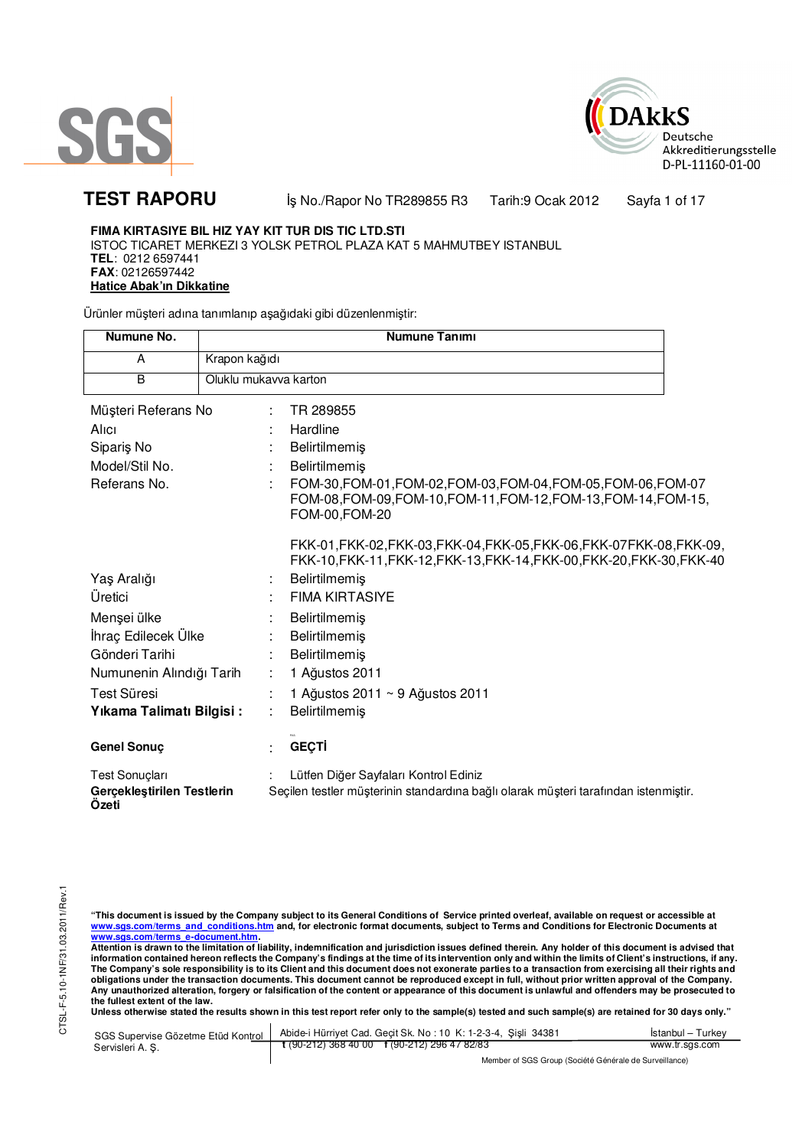



**TEST RAPORU** iş No./Rapor No TR289855 R3 Tarih:9 Ocak 2012 Sayfa 1 of 17

### **FIMA KIRTASIYE BIL HIZ YAY KIT TUR DIS TIC LTD.STI** ISTOC TICARET MERKEZI 3 YOLSK PETROL PLAZA KAT 5 MAHMUTBEY ISTANBUL

**TEL**: 0212 6597441 **FAX**: 02126597442 **Hatice Abak'ın Dikkatine**

Ürünler müşteri adına tanımlanıp aşağıdaki gibi düzenlenmiştir:

| Numune No.                                            |                       | <b>Numune Tanımı</b>                                                                                                                                |
|-------------------------------------------------------|-----------------------|-----------------------------------------------------------------------------------------------------------------------------------------------------|
| A                                                     | Krapon kağıdı         |                                                                                                                                                     |
| B                                                     | Oluklu mukavva karton |                                                                                                                                                     |
| Müşteri Referans No                                   |                       | TR 289855                                                                                                                                           |
| Alici                                                 |                       | Hardline                                                                                                                                            |
| Sipariş No                                            |                       | Belirtilmemiş                                                                                                                                       |
| Model/Stil No.                                        |                       | <b>Belirtilmemis</b>                                                                                                                                |
| Referans No.                                          |                       | FOM-30, FOM-01, FOM-02, FOM-03, FOM-04, FOM-05, FOM-06, FOM-07<br>FOM-08, FOM-09, FOM-10, FOM-11, FOM-12, FOM-13, FOM-14, FOM-15,<br>FOM-00, FOM-20 |
|                                                       |                       | FKK-01, FKK-02, FKK-03, FKK-04, FKK-05, FKK-06, FKK-07 FKK-08, FKK-09,<br>FKK-10, FKK-11, FKK-12, FKK-13, FKK-14, FKK-00, FKK-20, FKK-30, FKK-40    |
| Yaş Aralığı                                           |                       | <b>Belirtilmemis</b>                                                                                                                                |
| Üretici                                               |                       | <b>FIMA KIRTASIYE</b>                                                                                                                               |
| Menşei ülke                                           |                       | <b>Belirtilmemis</b>                                                                                                                                |
| İhraç Edilecek Ülke                                   |                       | <b>Belirtilmemis</b>                                                                                                                                |
| Gönderi Tarihi                                        |                       | Belirtilmemiş                                                                                                                                       |
| Numunenin Alındığı Tarih                              |                       | 1 Ağustos 2011                                                                                                                                      |
| <b>Test Süresi</b>                                    |                       | 1 Ağustos 2011 ~ 9 Ağustos 2011                                                                                                                     |
| Yıkama Talimatı Bilgisi:                              |                       | Belirtilmemiş                                                                                                                                       |
| <b>Genel Sonuç</b>                                    |                       | <b>GEÇTİ</b>                                                                                                                                        |
| Test Sonuçları<br>Gerçekleştirilen Testlerin<br>Ozeti |                       | Lütfen Diğer Sayfaları Kontrol Ediniz<br>Seçilen testler müşterinin standardına bağlı olarak müşteri tarafından istenmiştir.                        |

"This document is issued by the Company subject to its General Conditions of Service printed overleaf, available on request or accessible at<br>www.sgs.com/terms\_and\_conditions.htm\_and, for electronic format documents, subjec

<u>www.sgs.com/terms\_e-document.htm.</u><br>Attention is drawn to the limitation of liability, indemnification and jurisdiction issues defined therein. Any holder of this document is advised that<br>information contained hereon refle obligations under the transaction documents. This document cannot be reproduced except in full, without prior written approval of the Company.<br>Any unauthorized alteration, forgery or falsification of the content or appeara

Unless otherwise stated the results shown in this test report refer only to the sample(s) tested and such sample(s) are retained for 30 days only."

| SGS Supervise Gözetme Etüd Kontrol | Abide-i Hürriyet Cad. Geçit Sk. No: 10 K: 1-2-3-4, Şişli 34381 | İstanbul – Turkev |
|------------------------------------|----------------------------------------------------------------|-------------------|
| Servisleri A. S.                   | $\frac{1}{2}$ (90-212) 368 40 00 f (90-212) 296 47 82/83       | www.tr.sgs.com    |
|                                    | Mandez of COC Crains (Capital Clarimeter de Ciminallanea)      |                   |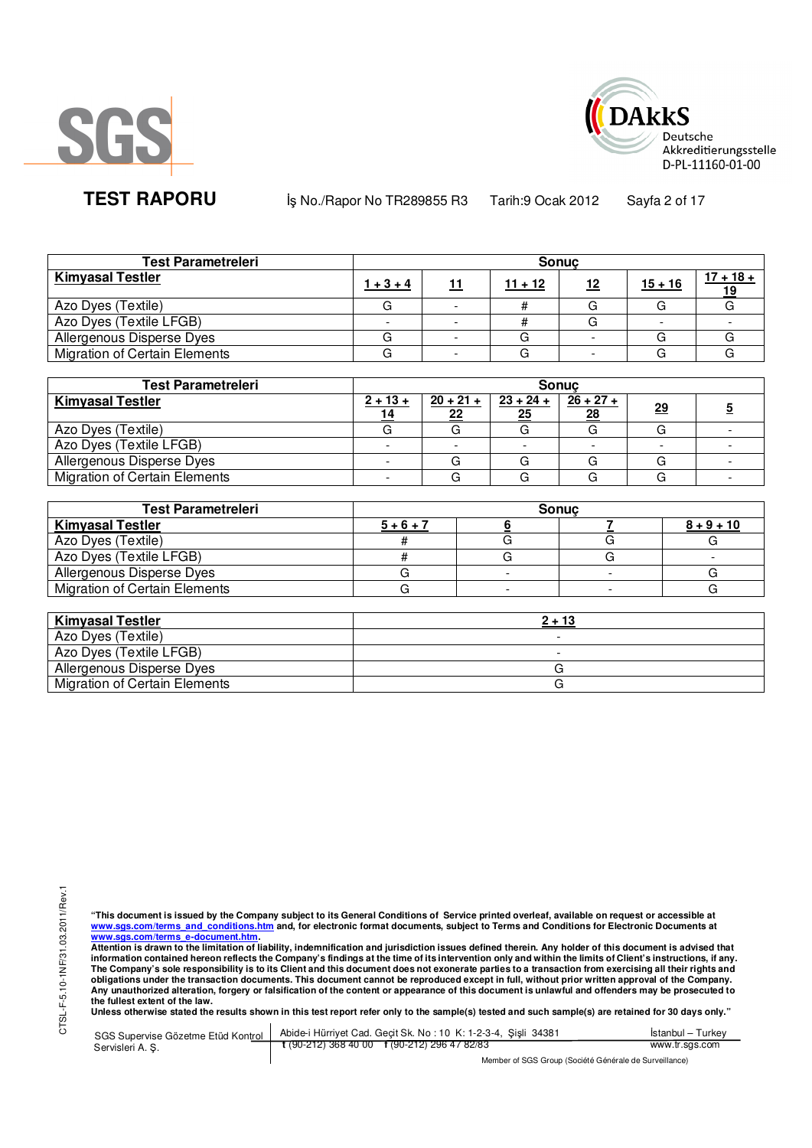



**TEST RAPORU** iş No./Rapor No TR289855 R3 Tarih:9 Ocak 2012 Sayfa 2 of 17

| <b>Test Parametreleri</b>            |             | <b>Sonuc</b> |            |           |             |
|--------------------------------------|-------------|--------------|------------|-----------|-------------|
| <b>Kimyasal Testler</b>              | $1 + 3 + 4$ | $11 + 12$    | <u> 12</u> | $15 + 16$ | $17 + 18 +$ |
| Azo Dyes (Textile)                   |             |              |            |           |             |
| Azo Dyes (Textile LFGB)              |             |              |            |           |             |
| Allergenous Disperse Dyes            |             |              |            |           |             |
| <b>Migration of Certain Elements</b> |             |              |            |           |             |

| <b>Test Parametreleri</b>            |                  |                               | <b>Sonuc</b>      |                   |           |  |
|--------------------------------------|------------------|-------------------------------|-------------------|-------------------|-----------|--|
| <b>Kimyasal Testler</b>              | $2 + 13 +$<br>14 | $\frac{20 + 21 + }{20}$<br>22 | $23 + 24 +$<br>25 | $26 + 27 +$<br>28 | <u>29</u> |  |
| Azo Dyes (Textile)                   |                  |                               |                   |                   |           |  |
| Azo Dyes (Textile LFGB)              |                  |                               |                   |                   |           |  |
| Allergenous Disperse Dyes            |                  |                               | G                 |                   | G         |  |
| <b>Migration of Certain Elements</b> |                  |                               |                   |                   |           |  |

| <b>Test Parametreleri</b>            | <b>Sonuc</b> |  |  |              |  |  |
|--------------------------------------|--------------|--|--|--------------|--|--|
| <b>Kimyasal Testler</b>              | $5 + 6 + 7$  |  |  | $8 + 9 + 10$ |  |  |
| Azo Dyes (Textile)                   |              |  |  |              |  |  |
| Azo Dyes (Textile LFGB)              |              |  |  |              |  |  |
| Allergenous Disperse Dyes            |              |  |  |              |  |  |
| <b>Migration of Certain Elements</b> |              |  |  |              |  |  |

| <b>Kimyasal Testler</b>              | $2 + 13$ |
|--------------------------------------|----------|
| Azo Dyes (Textile)                   | -        |
| Azo Dyes (Textile LFGB)              | -        |
| Allergenous Disperse Dyes            |          |
| <b>Migration of Certain Elements</b> |          |

"This document is issued by the Company subject to its General Conditions of Service printed overleaf, available on request or accessible at<br>www.sgs.com/terms\_and\_conditions.htm\_and, for electronic format documents, subjec

<u>www.sgs.com/terms\_e-document.htm.</u><br>Attention is drawn to the limitation of liability, indemnification and jurisdiction issues defined therein. Any holder of this document is advised that<br>information contained hereon refle obligations under the transaction documents. This document cannot be reproduced except in full, without prior written approval of the Company.<br>Any unauthorized alteration, forgery or falsification of the content or appeara

**Unless otherwise stated the results shown in this test report refer only to the sample(s) tested and such sample(s) are retained for 30 days only."** 

| SGS Supervise Gözetme Etüd Kontrol  <br>Servisleri A.S. | Abide-i Hürriyet Cad. Gecit Sk. No: 10 K: 1-2-3-4, Sisli 34381 | Istanbul – Turkev |
|---------------------------------------------------------|----------------------------------------------------------------|-------------------|
|                                                         | $\frac{1}{2}$ (90-212) 368 40 00 f (90-212) 296 47 82/83       | www.tr.sgs.com    |
|                                                         | Member of SGS Group (Société Générale de Surveillance)         |                   |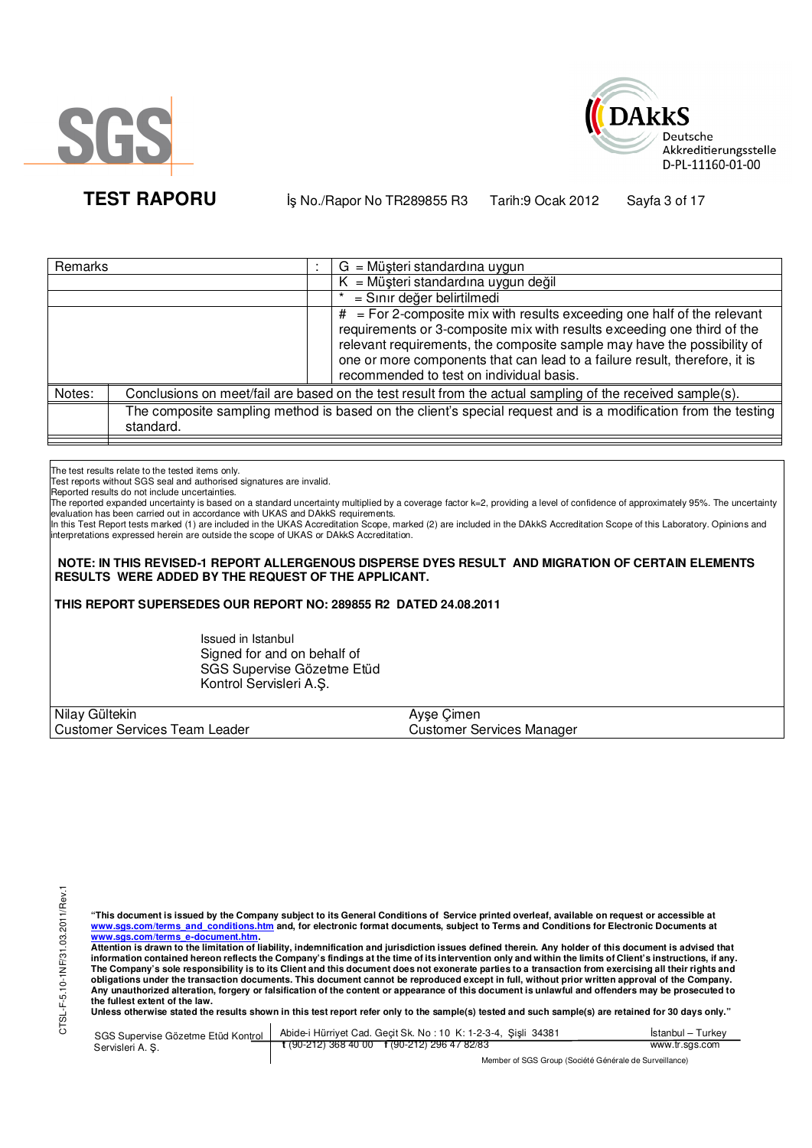



**TEST RAPORU** iş No./Rapor No TR289855 R3 Tarih:9 Ocak 2012 Sayfa 3 of 17

| Remarks |           | $G = M\ddot{\mu}$ şteri standardına uygun                                                                                                                                                                                                                                                                                                                 |
|---------|-----------|-----------------------------------------------------------------------------------------------------------------------------------------------------------------------------------------------------------------------------------------------------------------------------------------------------------------------------------------------------------|
|         |           | $K = M\ddot{\mu}$ şteri standardına uygun değil                                                                                                                                                                                                                                                                                                           |
|         |           | = Sınır değer belirtilmedi                                                                                                                                                                                                                                                                                                                                |
|         |           | $#$ = For 2-composite mix with results exceeding one half of the relevant<br>requirements or 3-composite mix with results exceeding one third of the<br>relevant requirements, the composite sample may have the possibility of<br>one or more components that can lead to a failure result, therefore, it is<br>recommended to test on individual basis. |
| Notes:  |           | Conclusions on meet/fail are based on the test result from the actual sampling of the received sample(s).                                                                                                                                                                                                                                                 |
|         | standard. | The composite sampling method is based on the client's special request and is a modification from the testing                                                                                                                                                                                                                                             |

The test results relate to the tested items only.

Test reports without SGS seal and authorised signatures are invalid.

Reported results do not include uncertainties.

The reported expanded uncertainty is based on a standard uncertainty multiplied by a coverage factor k=2, providing a level of confidence of approximately 95%. The uncertainty evaluation has been carried out in accordance with UKAS and DAkkS requirements.

In this Test Report tests marked (1) are included in the UKAS Accreditation Scope, marked (2) are included in the DAkkS Accreditation Scope of this Laboratory. Opinions and interpretations expressed herein are outside the scope of UKAS or DAkkS Accreditation.

 **NOTE: IN THIS REVISED-1 REPORT ALLERGENOUS DISPERSE DYES RESULT AND MIGRATION OF CERTAIN ELEMENTS RESULTS WERE ADDED BY THE REQUEST OF THE APPLICANT.**

**THIS REPORT SUPERSEDES OUR REPORT NO: 289855 R2 DATED 24.08.2011**

Issued in Istanbul Signed for and on behalf of SGS Supervise Gözetme Etüd Kontrol Servisleri A.Ş.

| Nilay Gültekin                          | ∘Cimen<br>Avse (          |
|-----------------------------------------|---------------------------|
| <b>Customer Services Team</b><br>Leader | Customer Services Manager |

**"This document is issued by the Company subject to its General Conditions of Service printed overleaf, available on request or accessible at www.sgs.com/terms\_and\_conditions.htm and, for electronic format documents, subject to Terms and Conditions for Electronic Documents at** 

<mark>www.sgs.com/terms\_e-document.htm.</mark><br>Attention is drawn to the limitation of liability, indemnification and jurisdiction issues defined therein. Any holder of this document is advised that information contained hereon reflects the Company's findings at the time of its intervention only and within the limits of Client's instructions, if any.<br>The Company's sole responsibility is to its Client and this document **obligations under the transaction documents. This document cannot be reproduced except in full, without prior written approval of the Company. Any unauthorized alteration, forgery or falsification of the content or appearance of this document is unlawful and offenders may be prosecuted to the fullest extent of the law.** 

Unless otherwise stated the results shown in this test report refer only to the sample(s) tested and such sample(s) are retained for 30 days only."

|                 | SGS Supervise Gözetme Etüd Kontrol   Abide-i Hürriyet Cad. Geçit Sk. No: 10 K: 1-2-3-4, Şişli 34381 | Istanbul – Turkev |
|-----------------|-----------------------------------------------------------------------------------------------------|-------------------|
| Servisleri A.S. | t (90-212) 368 40 00 f (90-212) 296 47 82/83                                                        | www.tr.sgs.com    |
|                 | Mambau of POP Ourine (Panilité O fotballa de Primiellanae)                                          |                   |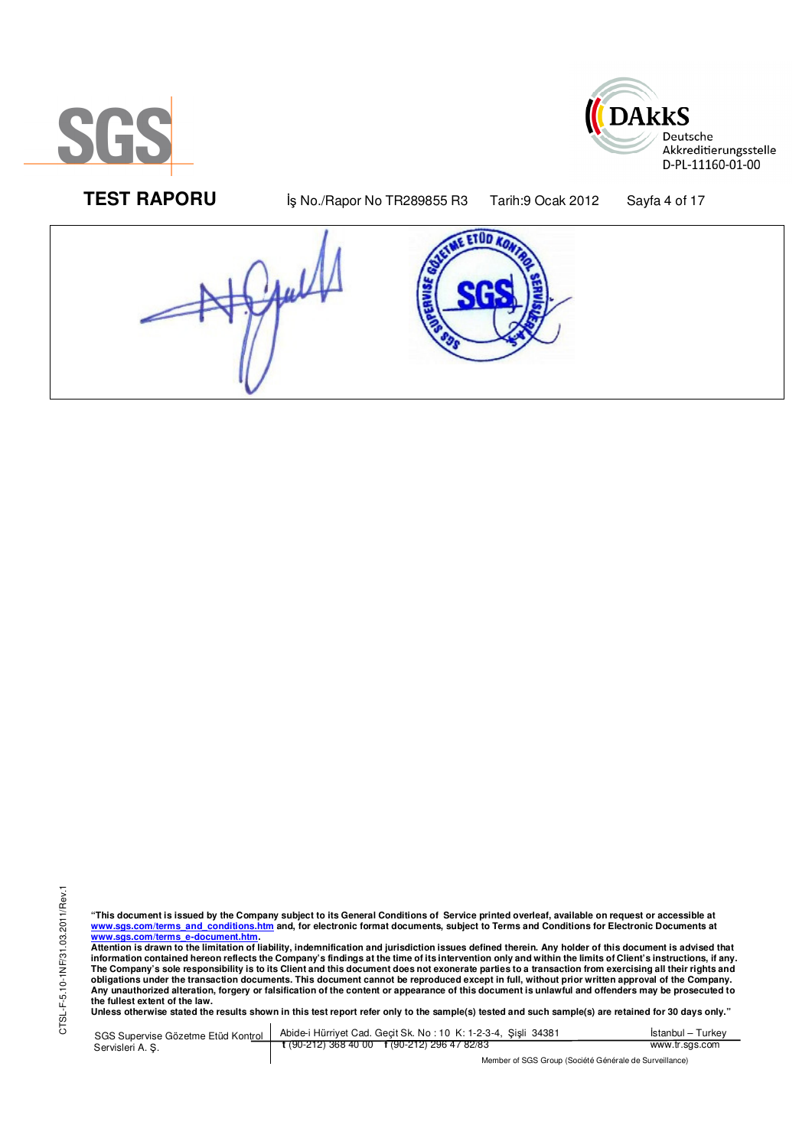

 $\overline{a}$ 



**TEST RAPORU By No./Rapor No TR289855 R3** Tarih:9 Ocak 2012 Sayfa 4 of 17



"This document is issued by the Company subject to its General Conditions of Service printed overleaf, available on request or accessible at<br>www.sgs.com/terms\_and\_conditions.htm\_and, for electronic format documents, subjec <mark>www.sgs.com/terms\_e-document.htm.</mark><br>Attention is drawn to the limitation of liability, indemnification and jurisdiction issues defined therein. Any holder of this document is advised that

information contained hereon reflects the Company's findings at the time of its intervention only and within the limits of Client's instructions, if any.<br>The Company's sole responsibility is to its Client and this document obligations under the transaction documents. This document cannot be reproduced except in full, without prior written approval of the Company.<br>Any unauthorized alteration, forgery or falsification of the content or appeara

**Unless otherwise stated the results shown in this test report refer only to the sample(s) tested and such sample(s) are retained for 30 days only."** 

SGS Supervise Gözetme Etüd Kontrol Servisleri A. Ş. Abide-i Hürriyet Cad. Geçit Sk. No : 10 K: 1-2-3-4, Şişli 34381 **t** (90-212) 368 40 00 **f** (90-212) 296 47 82/83 İstanbul – Turkey www.tr.sgs.com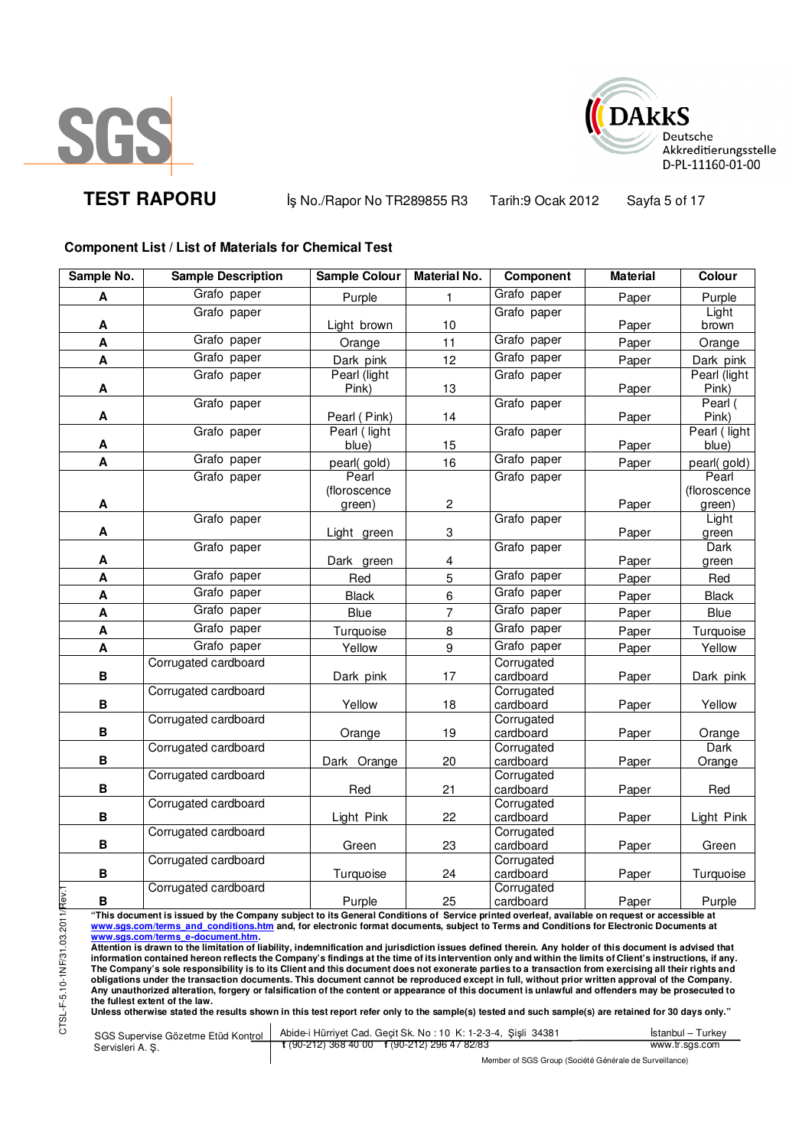

CTSL-F-5.10-1NF/31.03.201



**TEST RAPORU** iş No./Rapor No TR289855 R3 Tarih:9 Ocak 2012 Sayfa 5 of 17

## **Component List / List of Materials for Chemical Test**

| Sample No.                                                                                                                                                                                   | <b>Sample Description</b>                                                                                                                                                                                                                                                                               | <b>Sample Colour</b>                                      | <b>Material No.</b> | Component               | <b>Material</b> | <b>Colour</b>          |  |
|----------------------------------------------------------------------------------------------------------------------------------------------------------------------------------------------|---------------------------------------------------------------------------------------------------------------------------------------------------------------------------------------------------------------------------------------------------------------------------------------------------------|-----------------------------------------------------------|---------------------|-------------------------|-----------------|------------------------|--|
| A                                                                                                                                                                                            | Grafo paper                                                                                                                                                                                                                                                                                             | Purple                                                    | 1.                  | Grafo paper             | Paper           | Purple                 |  |
|                                                                                                                                                                                              | Grafo paper                                                                                                                                                                                                                                                                                             |                                                           |                     | Grafo paper             |                 | Light                  |  |
| A                                                                                                                                                                                            |                                                                                                                                                                                                                                                                                                         | Light brown                                               | 10                  |                         | Paper           | brown                  |  |
| A                                                                                                                                                                                            | Grafo paper                                                                                                                                                                                                                                                                                             | Orange                                                    | 11                  | Grafo paper             | Paper           | Orange                 |  |
| A                                                                                                                                                                                            | Grafo paper                                                                                                                                                                                                                                                                                             | Dark pink                                                 | 12                  | Grafo paper             | Paper           | Dark pink              |  |
|                                                                                                                                                                                              | Grafo paper                                                                                                                                                                                                                                                                                             | Pearl (light                                              |                     | Grafo paper             |                 | Pearl (light           |  |
| A                                                                                                                                                                                            | Grafo paper                                                                                                                                                                                                                                                                                             | Pink)                                                     | 13                  | Grafo paper             | Paper           | Pink)<br>Pearl (       |  |
| A                                                                                                                                                                                            |                                                                                                                                                                                                                                                                                                         | Pearl (Pink)                                              | 14                  |                         | Paper           | Pink)                  |  |
|                                                                                                                                                                                              | Grafo paper                                                                                                                                                                                                                                                                                             | Pearl (light                                              |                     | Grafo paper             |                 | Pearl (light           |  |
| A                                                                                                                                                                                            |                                                                                                                                                                                                                                                                                                         | blue)                                                     | 15                  |                         | Paper           | blue)                  |  |
| A                                                                                                                                                                                            | Grafo paper                                                                                                                                                                                                                                                                                             | pearl(gold)                                               | 16                  | Grafo paper             | Paper           | pearl(gold)            |  |
|                                                                                                                                                                                              | Grafo paper                                                                                                                                                                                                                                                                                             | Pearl                                                     |                     | Grafo paper             |                 | Pearl                  |  |
| Α                                                                                                                                                                                            |                                                                                                                                                                                                                                                                                                         | (floroscence<br>green)                                    | 2                   |                         | Paper           | (floroscence<br>green) |  |
|                                                                                                                                                                                              | Grafo paper                                                                                                                                                                                                                                                                                             |                                                           |                     | Grafo paper             |                 | Light                  |  |
| A                                                                                                                                                                                            |                                                                                                                                                                                                                                                                                                         | Light green                                               | 3                   |                         | Paper           | green                  |  |
|                                                                                                                                                                                              | Grafo paper                                                                                                                                                                                                                                                                                             |                                                           |                     | Grafo paper             |                 | Dark                   |  |
| А                                                                                                                                                                                            |                                                                                                                                                                                                                                                                                                         | Dark green                                                | 4                   |                         | Paper           | green                  |  |
| A                                                                                                                                                                                            | Grafo paper                                                                                                                                                                                                                                                                                             | Red                                                       | 5                   | Grafo paper             | Paper           | Red                    |  |
| A                                                                                                                                                                                            | Grafo paper                                                                                                                                                                                                                                                                                             | <b>Black</b>                                              | $\,6$               | Grafo paper             | Paper           | <b>Black</b>           |  |
| A                                                                                                                                                                                            | Grafo paper                                                                                                                                                                                                                                                                                             | <b>Blue</b>                                               | $\overline{7}$      | Grafo paper             | Paper           | Blue                   |  |
| A                                                                                                                                                                                            | Grafo paper                                                                                                                                                                                                                                                                                             | Turquoise                                                 | 8                   | Grafo paper             | Paper           | Turquoise              |  |
| A                                                                                                                                                                                            | Grafo paper                                                                                                                                                                                                                                                                                             | Yellow                                                    | 9                   | Grafo paper             | Paper           | Yellow                 |  |
|                                                                                                                                                                                              | Corrugated cardboard                                                                                                                                                                                                                                                                                    |                                                           |                     | Corrugated              |                 |                        |  |
| B                                                                                                                                                                                            |                                                                                                                                                                                                                                                                                                         | Dark pink                                                 | 17                  | cardboard               | Paper           | Dark pink              |  |
| B                                                                                                                                                                                            | Corrugated cardboard                                                                                                                                                                                                                                                                                    | Yellow                                                    | 18                  | Corrugated<br>cardboard | Paper           | Yellow                 |  |
|                                                                                                                                                                                              | Corrugated cardboard                                                                                                                                                                                                                                                                                    |                                                           |                     | Corrugated              |                 |                        |  |
| В                                                                                                                                                                                            |                                                                                                                                                                                                                                                                                                         | Orange                                                    | 19                  | cardboard               | Paper           | Orange                 |  |
|                                                                                                                                                                                              | Corrugated cardboard                                                                                                                                                                                                                                                                                    |                                                           |                     | Corrugated              |                 | Dark                   |  |
| В                                                                                                                                                                                            |                                                                                                                                                                                                                                                                                                         | Dark Orange                                               | 20                  | cardboard               | Paper           | Orange                 |  |
|                                                                                                                                                                                              | Corrugated cardboard                                                                                                                                                                                                                                                                                    |                                                           |                     | Corrugated              |                 |                        |  |
| В                                                                                                                                                                                            | Corrugated cardboard                                                                                                                                                                                                                                                                                    | Red                                                       | 21                  | cardboard<br>Corrugated | Paper           | Red                    |  |
| B                                                                                                                                                                                            |                                                                                                                                                                                                                                                                                                         | Light Pink                                                | 22                  | cardboard               | Paper           | Light Pink             |  |
|                                                                                                                                                                                              | Corrugated cardboard                                                                                                                                                                                                                                                                                    |                                                           |                     | Corrugated              |                 |                        |  |
| B                                                                                                                                                                                            |                                                                                                                                                                                                                                                                                                         | Green                                                     | 23                  | cardboard               | Paper           | Green                  |  |
|                                                                                                                                                                                              | Corrugated cardboard                                                                                                                                                                                                                                                                                    |                                                           |                     | Corrugated              |                 |                        |  |
| В                                                                                                                                                                                            | Corrugated cardboard                                                                                                                                                                                                                                                                                    | Turquoise                                                 | 24                  | cardboard<br>Corrugated | Paper           | Turquoise              |  |
| В                                                                                                                                                                                            |                                                                                                                                                                                                                                                                                                         | Purple                                                    | 25                  | cardboard               | Paper           | Purple                 |  |
|                                                                                                                                                                                              | "This document is issued by the Company subject to its General Conditions of Service printed overleaf, available on request or accessible at                                                                                                                                                            |                                                           |                     |                         |                 |                        |  |
|                                                                                                                                                                                              | www.sgs.com/terms and conditions.htm and, for electronic format documents, subject to Terms and Conditions for Electronic Documents at                                                                                                                                                                  |                                                           |                     |                         |                 |                        |  |
| www.sgs.com/terms e-document.htm.<br>Attention is drawn to the limitation of liability, indemnification and jurisdiction issues defined therein. Any holder of this document is advised that |                                                                                                                                                                                                                                                                                                         |                                                           |                     |                         |                 |                        |  |
| information contained hereon reflects the Company's findings at the time of its intervention only and within the limits of Client's instructions, if any.                                    |                                                                                                                                                                                                                                                                                                         |                                                           |                     |                         |                 |                        |  |
|                                                                                                                                                                                              | The Company's sole responsibility is to its Client and this document does not exonerate parties to a transaction from exercising all their rights and<br>obligations under the transaction documents. This document cannot be reproduced except in full, without prior written approval of the Company. |                                                           |                     |                         |                 |                        |  |
|                                                                                                                                                                                              | Any unauthorized alteration, forgery or falsification of the content or appearance of this document is unlawful and offenders may be prosecuted to<br>the fullest extent of the law.                                                                                                                    |                                                           |                     |                         |                 |                        |  |
| SL-F-5.10-1NF/31.03.2011/Rev.1                                                                                                                                                               | Unless otherwise stated the results shown in this test report refer only to the sample(s) tested and such sample(s) are retained for 30 days only."                                                                                                                                                     |                                                           |                     |                         |                 |                        |  |
|                                                                                                                                                                                              |                                                                                                                                                                                                                                                                                                         | Abide i Hürriyat Cad Gecit Sk No 10 K 1-2-3-4 Sieli 34381 |                     |                         |                 | İstanbul - Turkov      |  |

SGS Supervise Gözetme Etüd Kontrol Servisleri A. Ş. Abide-i Hürriyet Cad. Geçit Sk. No : 10 K: 1-2-3-4, Şişli 34381 **t** (90-212) 368 40 00 **f** (90-212) 296 47 82/83 İstanbul – Turkey www.tr.sgs.com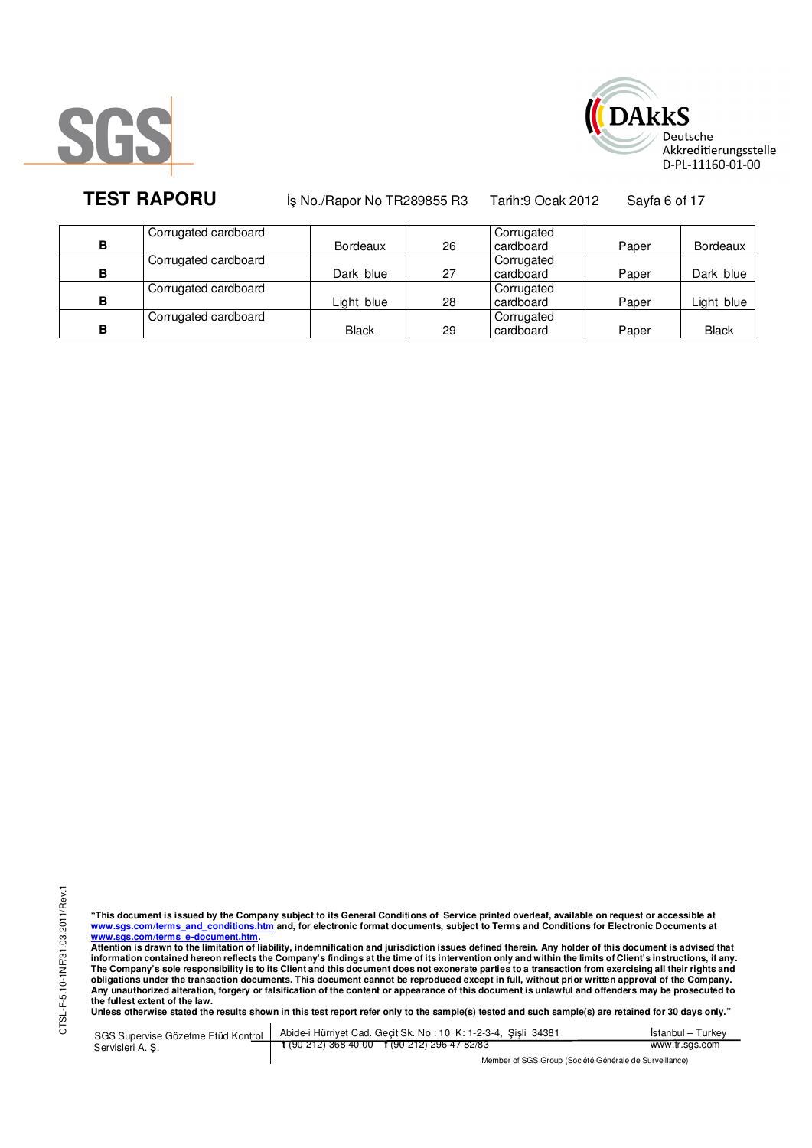



**TEST RAPORU** iş No./Rapor No TR289855 R3 Tarih:9 Ocak 2012 Sayfa 6 of 17

|   | Corrugated cardboard |                 |    | Corrugated |       |              |
|---|----------------------|-----------------|----|------------|-------|--------------|
| в |                      | <b>Bordeaux</b> | 26 | cardboard  | Paper | Bordeaux     |
|   | Corrugated cardboard |                 |    | Corrugated |       |              |
| в |                      | Dark blue       | 27 | cardboard  | Paper | Dark blue    |
|   | Corrugated cardboard |                 |    | Corrugated |       |              |
| B |                      | Light blue      | 28 | cardboard  | Paper | Light blue   |
|   | Corrugated cardboard |                 |    | Corrugated |       |              |
| в |                      | <b>Black</b>    | 29 | cardboard  | Paper | <b>Black</b> |

"This document is issued by the Company subject to its General Conditions of Service printed overleaf, available on request or accessible at<br>www.sgs.com/terms\_and\_conditions.htm\_and, for electronic format documents, subjec <mark>www.sgs.com/terms\_e-document.htm.</mark><br>Attention is drawn to the limitation of liability, indemnification and jurisdiction issues defined therein. Any holder of this document is advised that

information contained hereon reflects the Company's findings at the time of its intervention only and within the limits of Client's instructions, if any.<br>The Company's sole responsibility is to its Client and this document obligations under the transaction documents. This document cannot be reproduced except in full, without prior written approval of the Company.<br>Any unauthorized alteration, forgery or falsification of the content or appeara

**Unless otherwise stated the results shown in this test report refer only to the sample(s) tested and such sample(s) are retained for 30 days only."** 

SGS Supervise Gözetme Etüd Kontrol Servisleri A. Ş. Abide-i Hürriyet Cad. Geçit Sk. No : 10 K: 1-2-3-4, Şişli 34381 **t** (90-212) 368 40 00 **f** (90-212) 296 47 82/83 İstanbul – Turkey www.tr.sgs.com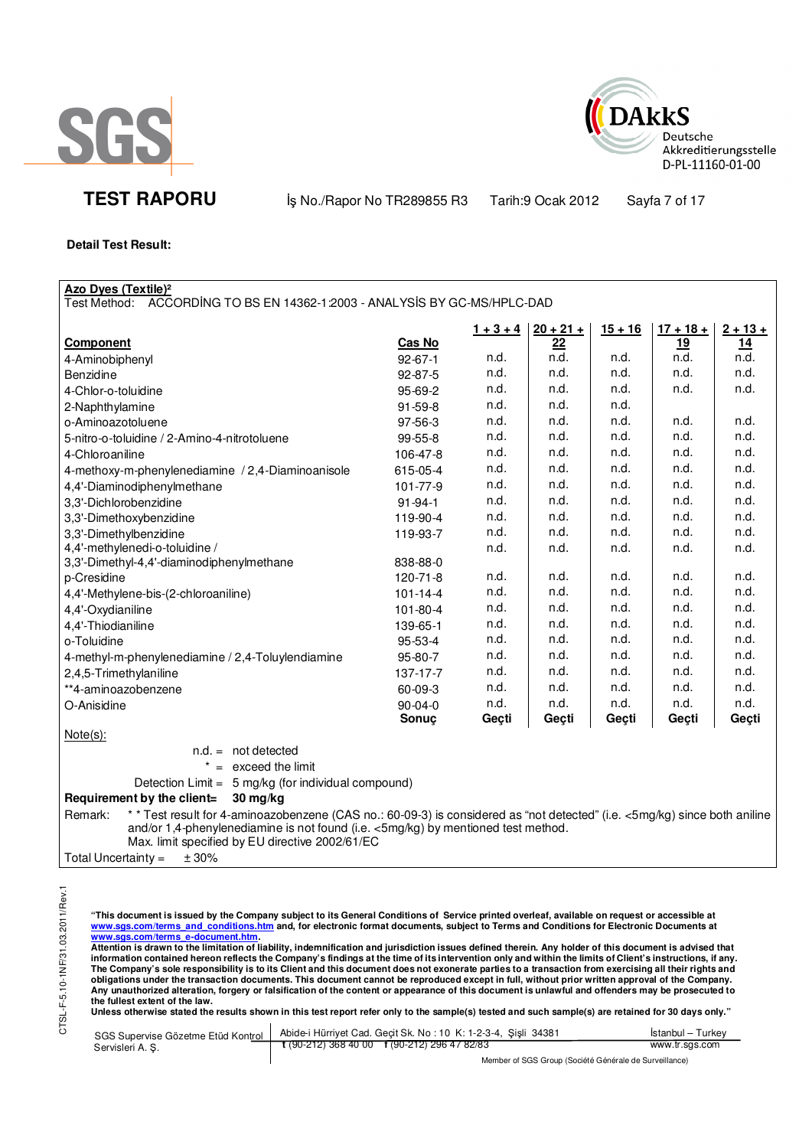



**TEST RAPORU** iş No./Rapor No TR289855 R3 Tarih:9 Ocak 2012 Sayfa 7 of 17

### **Detail Test Result:**

| <b>Azo Dyes (Textile)<sup>2</sup></b>                                                                                                 |                |             |             |           |             |            |
|---------------------------------------------------------------------------------------------------------------------------------------|----------------|-------------|-------------|-----------|-------------|------------|
| Test Method: ACCORDING TO BS EN 14362-1:2003 - ANALYSIS BY GC-MS/HPLC-DAD                                                             |                |             |             |           |             |            |
|                                                                                                                                       |                | $1 + 3 + 4$ | $20 + 21 +$ | $15 + 16$ | $17 + 18 +$ | $2 + 13 +$ |
| <b>Component</b>                                                                                                                      | Cas No         |             | 22          |           | 19          | <u>14</u>  |
| 4-Aminobiphenyl                                                                                                                       | $92 - 67 - 1$  | n.d.        | n.d.        | n.d.      | n.d.        | n.d.       |
| Benzidine                                                                                                                             | 92-87-5        | n.d.        | n.d.        | n.d.      | n.d.        | n.d.       |
| 4-Chlor-o-toluidine                                                                                                                   | 95-69-2        | n.d.        | n.d.        | n.d.      | n.d.        | n.d.       |
| 2-Naphthylamine                                                                                                                       | 91-59-8        | n.d.        | n.d.        | n.d.      |             |            |
| o-Aminoazotoluene                                                                                                                     | 97-56-3        | n.d.        | n.d.        | n.d.      | n.d.        | n.d.       |
| 5-nitro-o-toluidine / 2-Amino-4-nitrotoluene                                                                                          | 99-55-8        | n.d.        | n.d.        | n.d.      | n.d.        | n.d.       |
| 4-Chloroaniline                                                                                                                       | 106-47-8       | n.d.        | n.d.        | n.d.      | n.d.        | n.d.       |
| 4-methoxy-m-phenylenediamine / 2,4-Diaminoanisole                                                                                     | 615-05-4       | n.d.        | n.d.        | n.d.      | n.d.        | n.d.       |
| 4,4'-Diaminodiphenylmethane                                                                                                           | 101-77-9       | n.d.        | n.d.        | n.d.      | n.d.        | n.d.       |
| 3,3'-Dichlorobenzidine                                                                                                                | $91 - 94 - 1$  | n.d.        | n.d.        | n.d.      | n.d.        | n.d.       |
| 3,3'-Dimethoxybenzidine                                                                                                               | 119-90-4       | n.d.        | n.d.        | n.d.      | n.d.        | n.d.       |
| 3,3'-Dimethylbenzidine                                                                                                                | 119-93-7       | n.d.        | n.d.        | n.d.      | n.d.        | n.d.       |
| 4,4'-methylenedi-o-toluidine /                                                                                                        |                | n.d.        | n.d.        | n.d.      | n.d.        | n.d.       |
| 3,3'-Dimethyl-4,4'-diaminodiphenylmethane                                                                                             | 838-88-0       |             |             |           |             |            |
| p-Cresidine                                                                                                                           | 120-71-8       | n.d.        | n.d.        | n.d.      | n.d.        | n.d.       |
| 4,4'-Methylene-bis-(2-chloroaniline)                                                                                                  | $101 - 14 - 4$ | n.d.        | n.d.        | n.d.      | n.d.        | n.d.       |
| 4,4'-Oxydianiline                                                                                                                     | 101-80-4       | n.d.        | n.d.        | n.d.      | n.d.        | n.d.       |
| 4,4'-Thiodianiline                                                                                                                    | 139-65-1       | n.d.        | n.d.        | n.d.      | n.d.        | n.d.       |
| o-Toluidine                                                                                                                           | 95-53-4        | n.d.        | n.d.        | n.d.      | n.d.        | n.d.       |
| 4-methyl-m-phenylenediamine / 2,4-Toluylendiamine                                                                                     | 95-80-7        | n.d.        | n.d.        | n.d.      | n.d.        | n.d.       |
| 2,4,5-Trimethylaniline                                                                                                                | 137-17-7       | n.d.        | n.d.        | n.d.      | n.d.        | n.d.       |
| **4-aminoazobenzene                                                                                                                   | 60-09-3        | n.d.        | n.d.        | n.d.      | n.d.        | n.d.       |
| O-Anisidine                                                                                                                           | 90-04-0        | n.d.        | n.d.        | n.d.      | n.d.        | n.d.       |
|                                                                                                                                       | Sonuç          | Geçti       | Geçti       | Geçti     | Geçti       | Geçti      |
| $Note(s)$ :                                                                                                                           |                |             |             |           |             |            |
| $n.d. = not detected$                                                                                                                 |                |             |             |           |             |            |
| $* =$ exceed the limit                                                                                                                |                |             |             |           |             |            |
| 5 mg/kg (for individual compound)<br>Detection Limit =                                                                                |                |             |             |           |             |            |
| Requirement by the client=<br>30 mg/kg                                                                                                |                |             |             |           |             |            |
| * * Test result for 4-aminoazobenzene (CAS no.: 60-09-3) is considered as "not detected" (i.e. <5mg/kg) since both aniline<br>Remark: |                |             |             |           |             |            |
| and/or 1,4-phenylenediamine is not found (i.e. <5mg/kg) by mentioned test method.                                                     |                |             |             |           |             |            |
| Max. limit specified by EU directive 2002/61/EC<br>$T_{\text{shell}}$                                                                 |                |             |             |           |             |            |

Total Uncertainty =  $\pm 30\%$ 

<u>www.sgs.com/terms\_e-document.htm.</u><br>Attention is drawn to the limitation of liability, indemnification and jurisdiction issues defined therein. Any holder of this document is advised that<br>information contained hereon refle obligations under the transaction documents. This document cannot be reproduced except in full, without prior written approval of the Company.<br>Any unauthorized alteration, forgery or falsification of the content or appeara

**Unless otherwise stated the results shown in this test report refer only to the sample(s) tested and such sample(s) are retained for 30 days only."** 

"This document is issued by the Company subject to its General Conditions of Service printed overleaf, available on request or accessible at<br>www.sgs.com/terms\_and\_conditions.htm\_and, for electronic format documents, subjec

|                 | Mombor of SCS Group (Société Générale de Survoillance)                                              |                   |
|-----------------|-----------------------------------------------------------------------------------------------------|-------------------|
| Servisleri A.S. | t (90-212) 368 40 00 f (90-212) 296 47 82/83                                                        | www.tr.sgs.com    |
|                 | SGS Supervise Gözetme Etüd Kontrol   Abide-i Hürriyet Cad. Geçit Sk. No: 10 K: 1-2-3-4, Şişli 34381 | İstanbul – Turkev |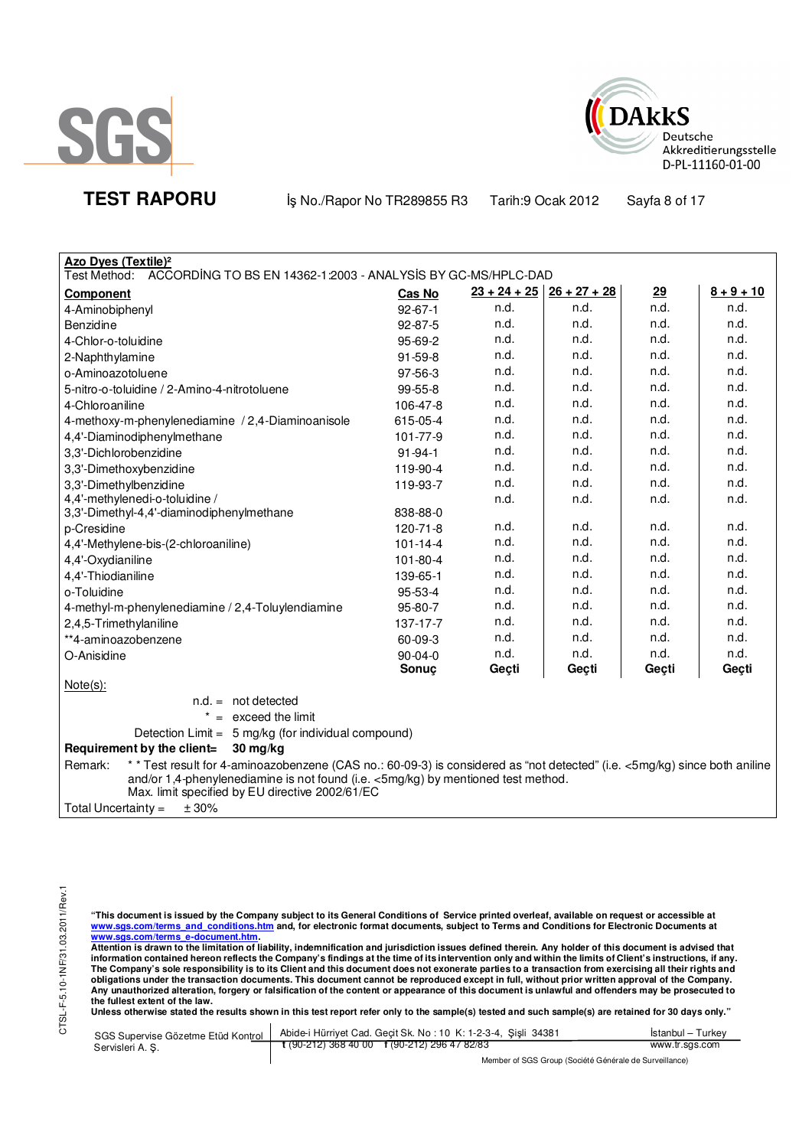



**TEST RAPORU** iş No./Rapor No TR289855 R3 Tarih:9 Ocak 2012 Sayfa 8 of 17

| Azo Dyes (Textile) <sup>2</sup>                                                                                                                                                                                                                                              |                |                |                |       |              |
|------------------------------------------------------------------------------------------------------------------------------------------------------------------------------------------------------------------------------------------------------------------------------|----------------|----------------|----------------|-------|--------------|
| Test Method: ACCORDING TO BS EN 14362-1:2003 - ANALYSIS BY GC-MS/HPLC-DAD                                                                                                                                                                                                    |                |                |                |       |              |
| <b>Component</b>                                                                                                                                                                                                                                                             | Cas No         | $23 + 24 + 25$ | $26 + 27 + 28$ | 29    | $8 + 9 + 10$ |
| 4-Aminobiphenyl                                                                                                                                                                                                                                                              | $92 - 67 - 1$  | n.d.           | n.d.           | n.d.  | n.d.         |
| Benzidine                                                                                                                                                                                                                                                                    | 92-87-5        | n.d.           | n.d.           | n.d.  | n.d.         |
| 4-Chlor-o-toluidine                                                                                                                                                                                                                                                          | 95-69-2        | n.d.           | n.d.           | n.d.  | n.d.         |
| 2-Naphthylamine                                                                                                                                                                                                                                                              | 91-59-8        | n.d.           | n.d.           | n.d.  | n.d.         |
| o-Aminoazotoluene                                                                                                                                                                                                                                                            | 97-56-3        | n.d.           | n.d.           | n.d.  | n.d.         |
| 5-nitro-o-toluidine / 2-Amino-4-nitrotoluene                                                                                                                                                                                                                                 | 99-55-8        | n.d.           | n.d.           | n.d.  | n.d.         |
| 4-Chloroaniline                                                                                                                                                                                                                                                              | 106-47-8       | n.d.           | n.d.           | n.d.  | n.d.         |
| 4-methoxy-m-phenylenediamine / 2,4-Diaminoanisole                                                                                                                                                                                                                            | 615-05-4       | n.d.           | n.d.           | n.d.  | n.d.         |
| 4,4'-Diaminodiphenylmethane                                                                                                                                                                                                                                                  | 101-77-9       | n.d.           | n.d.           | n.d.  | n.d.         |
| 3,3'-Dichlorobenzidine                                                                                                                                                                                                                                                       | $91 - 94 - 1$  | n.d.           | n.d.           | n.d.  | n.d.         |
| 3,3'-Dimethoxybenzidine                                                                                                                                                                                                                                                      | 119-90-4       | n.d.           | n.d.           | n.d.  | n.d.         |
| 3,3'-Dimethylbenzidine                                                                                                                                                                                                                                                       | 119-93-7       | n.d.           | n.d.           | n.d.  | n.d.         |
| 4,4'-methylenedi-o-toluidine /                                                                                                                                                                                                                                               |                | n.d.           | n.d.           | n.d.  | n.d.         |
| 3,3'-Dimethyl-4,4'-diaminodiphenylmethane                                                                                                                                                                                                                                    | 838-88-0       |                |                |       |              |
| p-Cresidine                                                                                                                                                                                                                                                                  | 120-71-8       | n.d.           | n.d.           | n.d.  | n.d.         |
| 4,4'-Methylene-bis-(2-chloroaniline)                                                                                                                                                                                                                                         | $101 - 14 - 4$ | n.d.           | n.d.           | n.d.  | n.d.         |
| 4,4'-Oxydianiline                                                                                                                                                                                                                                                            | $101 - 80 - 4$ | n.d.           | n.d.           | n.d.  | n.d.         |
| 4,4'-Thiodianiline                                                                                                                                                                                                                                                           | 139-65-1       | n.d.           | n.d.           | n.d.  | n.d.         |
| o-Toluidine                                                                                                                                                                                                                                                                  | 95-53-4        | n.d.           | n.d.           | n.d.  | n.d.         |
| 4-methyl-m-phenylenediamine / 2,4-Toluylendiamine                                                                                                                                                                                                                            | 95-80-7        | n.d.           | n.d.           | n.d.  | n.d.         |
| 2,4,5-Trimethylaniline                                                                                                                                                                                                                                                       | 137-17-7       | n.d.           | n.d.           | n.d.  | n.d.         |
| **4-aminoazobenzene                                                                                                                                                                                                                                                          | 60-09-3        | n.d.           | n.d.           | n.d.  | n.d.         |
| O-Anisidine                                                                                                                                                                                                                                                                  | $90 - 04 - 0$  | n.d.           | n.d.           | n.d.  | n.d.         |
|                                                                                                                                                                                                                                                                              | Sonuc          | Gecti          | Geçti          | Geçti | Geçti        |
| $Note(s)$ :                                                                                                                                                                                                                                                                  |                |                |                |       |              |
| $n.d. = not detected$                                                                                                                                                                                                                                                        |                |                |                |       |              |
| $* =$ exceed the limit                                                                                                                                                                                                                                                       |                |                |                |       |              |
| Detection Limit = 5 mg/kg (for individual compound)                                                                                                                                                                                                                          |                |                |                |       |              |
| Requirement by the client=<br>$30 \text{ mg/kg}$                                                                                                                                                                                                                             |                |                |                |       |              |
| ** Test result for 4-aminoazobenzene (CAS no.: 60-09-3) is considered as "not detected" (i.e. <5mg/kg) since both aniline<br>Remark:<br>and/or 1,4-phenylenediamine is not found (i.e. <5mg/kg) by mentioned test method.<br>Max. limit specified by EU directive 2002/61/EC |                |                |                |       |              |
| Total Uncertainty =<br>± 30%                                                                                                                                                                                                                                                 |                |                |                |       |              |

"This document is issued by the Company subject to its General Conditions of Service printed overleaf, available on request or accessible at<br>www.sgs.com/terms\_and\_conditions.htm\_and, for electronic format documents, subjec

<u>www.sgs.com/terms\_e-document.htm.</u><br>Attention is drawn to the limitation of liability, indemnification and jurisdiction issues defined therein. Any holder of this document is advised that<br>information contained hereon refle obligations under the transaction documents. This document cannot be reproduced except in full, without prior written approval of the Company.<br>Any unauthorized alteration, forgery or falsification of the content or appeara

**Unless otherwise stated the results shown in this test report refer only to the sample(s) tested and such sample(s) are retained for 30 days only."** 

|                 | SGS Supervise Gözetme Etüd Kontrol   Abide-i Hürriyet Cad. Geçit Sk. No: 10 K: 1-2-3-4, Şişli 34381 | Istanbul – Turkey |
|-----------------|-----------------------------------------------------------------------------------------------------|-------------------|
| Servisleri A.S. | $\frac{1}{2}$ (90-212) 368 40 00 f (90-212) 296 47 82/83                                            | www.tr.sgs.com    |
|                 | Mambar of PCP Crain (Posiótó Cánárola de Purvaillance)                                              |                   |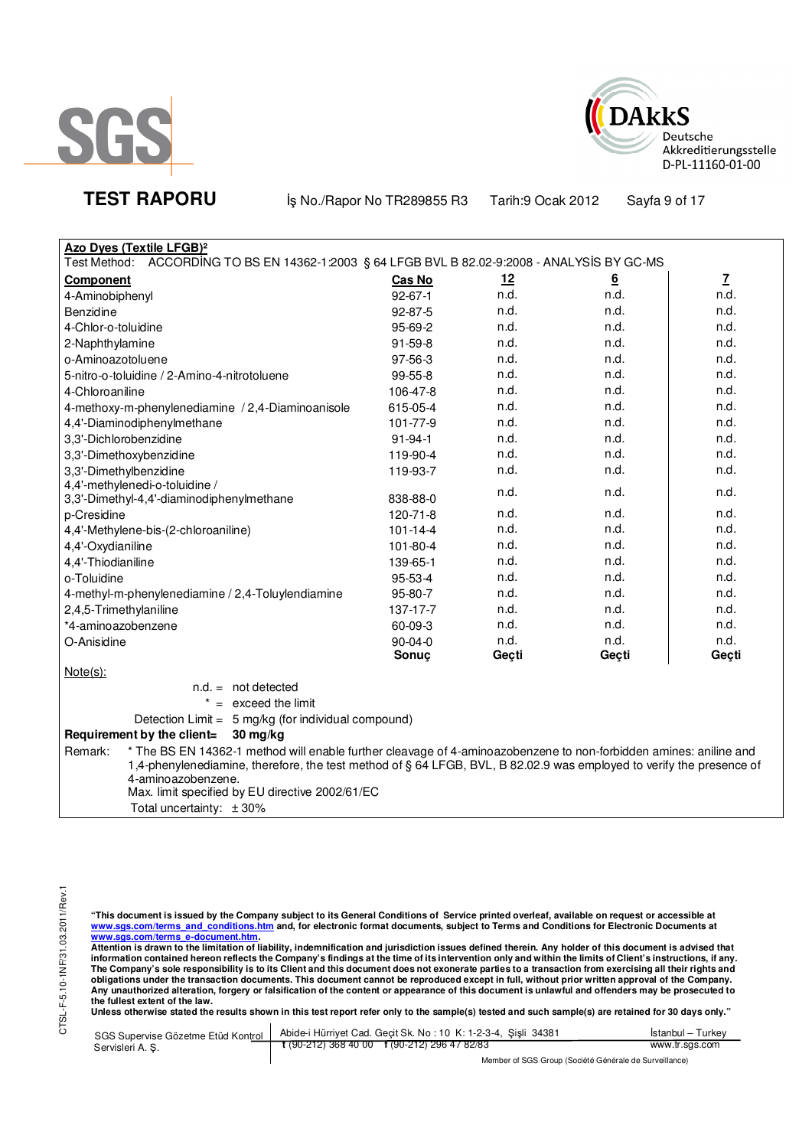



**TEST RAPORU** iş No./Rapor No TR289855 R3 Tarih:9 Ocak 2012 Sayfa 9 of 17

| Azo Dyes (Textile LFGB) <sup>2</sup>                                                          |                |           |                 |                          |
|-----------------------------------------------------------------------------------------------|----------------|-----------|-----------------|--------------------------|
| Test Method: ACCORDING TO BS EN 14362-1:2003 § 64 LFGB BVL B 82.02-9:2008 - ANALYSIS BY GC-MS |                |           |                 |                          |
| <b>Component</b>                                                                              | <b>Cas No</b>  | <u>12</u> | $\underline{6}$ | $\underline{\mathbf{7}}$ |
| 4-Aminobiphenyl                                                                               | $92 - 67 - 1$  | n.d.      | n.d.            | n.d.                     |
| Benzidine                                                                                     | $92 - 87 - 5$  | n.d.      | n.d.            | n.d.                     |
| 4-Chlor-o-toluidine                                                                           | 95-69-2        | n.d.      | n.d.            | n.d.                     |
| 2-Naphthylamine                                                                               | $91 - 59 - 8$  | n.d.      | n.d.            | n.d.                     |
| o-Aminoazotoluene                                                                             | 97-56-3        | n.d.      | n.d.            | n.d.                     |
| 5-nitro-o-toluidine / 2-Amino-4-nitrotoluene                                                  | $99 - 55 - 8$  | n.d.      | n.d.            | n.d.                     |
| 4-Chloroaniline                                                                               | 106-47-8       | n.d.      | n.d.            | n.d.                     |
| 4-methoxy-m-phenylenediamine / 2,4-Diaminoanisole                                             | 615-05-4       | n.d.      | n.d.            | n.d.                     |
| 4,4'-Diaminodiphenylmethane                                                                   | 101-77-9       | n.d.      | n.d.            | n.d.                     |
| 3,3'-Dichlorobenzidine                                                                        | $91 - 94 - 1$  | n.d.      | n.d.            | n.d.                     |
| 3,3'-Dimethoxybenzidine                                                                       | 119-90-4       | n.d.      | n.d.            | n.d.                     |
| 3,3'-Dimethylbenzidine                                                                        | 119-93-7       | n.d.      | n.d.            | n.d.                     |
| 4,4'-methylenedi-o-toluidine /                                                                |                | n.d.      | n.d.            | n.d.                     |
| 3,3'-Dimethyl-4,4'-diaminodiphenylmethane                                                     | 838-88-0       |           |                 |                          |
| p-Cresidine                                                                                   | 120-71-8       | n.d.      | n.d.            | n.d.                     |
| 4,4'-Methylene-bis-(2-chloroaniline)                                                          | $101 - 14 - 4$ | n.d.      | n.d.            | n.d.                     |
| 4,4'-Oxydianiline                                                                             | 101-80-4       | n.d.      | n.d.            | n.d.                     |
| 4,4'-Thiodianiline                                                                            | 139-65-1       | n.d.      | n.d.            | n.d.                     |
| o-Toluidine                                                                                   | $95 - 53 - 4$  | n.d.      | n.d.            | n.d.                     |
| 4-methyl-m-phenylenediamine / 2,4-Toluylendiamine                                             | 95-80-7        | n.d.      | n.d.            | n.d.                     |
| 2,4,5-Trimethylaniline                                                                        | 137-17-7       | n.d.      | n.d.            | n.d.                     |
| *4-aminoazobenzene                                                                            | 60-09-3        | n.d.      | n.d.            | n.d.                     |
| O-Anisidine                                                                                   | $90 - 04 - 0$  | n.d.      | n.d.            | n.d.                     |
|                                                                                               | Sonuc          | Geçti     | Geçti           | Geçti                    |
| $Note(s)$ :                                                                                   |                |           |                 |                          |
| $n.d. = not detected$                                                                         |                |           |                 |                          |

 $* =$  exceed the limit

Detection Limit = 5 mg/kg (for individual compound)

# **Requirement by the client= 30 mg/kg**

Remark: \* The BS EN 14362-1 method will enable further cleavage of 4-aminoazobenzene to non-forbidden amines: aniline and 1,4-phenylenediamine, therefore, the test method of § 64 LFGB, BVL, B 82.02.9 was employed to verify the presence of 4-aminoazobenzene. Max. limit specified by EU directive 2002/61/EC

Total uncertainty: ± 30%

"This document is issued by the Company subject to its General Conditions of Service printed overleaf, available on request or accessible at<br>www.sgs.com/terms\_and\_conditions.htm\_and, for electronic format documents, subjec

<mark>www.sgs.com/terms\_e-document.htm.</mark><br>Attention is drawn to the limitation of liability, indemnification and jurisdiction issues defined therein. Any holder of this document is advised that information contained hereon reflects the Company's findings at the time of its intervention only and within the limits of Client's instructions, if any.<br>The Company's sole responsibility is to its Client and this document **obligations under the transaction documents. This document cannot be reproduced except in full, without prior written approval of the Company. Any unauthorized alteration, forgery or falsification of the content or appearance of this document is unlawful and offenders may be prosecuted to the fullest extent of the law.** 

**Unless otherwise stated the results shown in this test report refer only to the sample(s) tested and such sample(s) are retained for 30 days only."** 

| SGS Supervise Gözetme Etüd Kontrol I | Abide-i Hürriyet Cad. Gecit Sk. No: 10 K: 1-2-3-4, Sisli 34381 | Istanbul – Turkev |
|--------------------------------------|----------------------------------------------------------------|-------------------|
| Servisleri A. S.                     | $\frac{1}{2}$ (90-212) 368 40 00 f (90-212) 296 47 82/83       | www.tr.sgs.com    |
|                                      | Member of SGS Group (Société Générale de Surveillance)         |                   |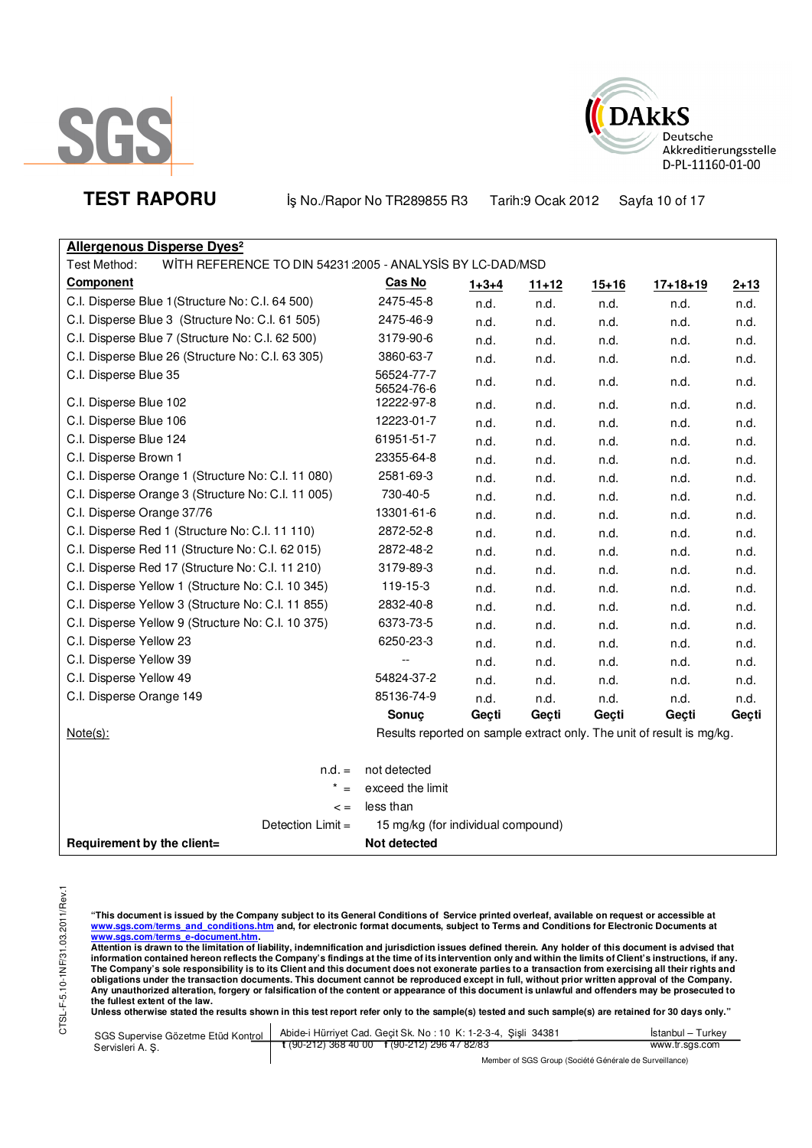



**TEST RAPORU** iş No./Rapor No TR289855 R3 Tarih:9 Ocak 2012 Sayfa 10 of 17

# **Allergenous Disperse Dyes²**

Test Method: WITH REFERENCE TO DIN 54231:2005 - ANALYSIS BY LC-DAD/MSD

| <b>Component</b>                                   | Cas No                                                                | $1 + 3 + 4$ | $11 + 12$ | $15 + 16$ | $17 + 18 + 19$ | $2 + 13$ |
|----------------------------------------------------|-----------------------------------------------------------------------|-------------|-----------|-----------|----------------|----------|
| C.I. Disperse Blue 1 (Structure No: C.I. 64 500)   | 2475-45-8                                                             | n.d.        | n.d.      | n.d.      | n.d.           | n.d.     |
| C.I. Disperse Blue 3 (Structure No: C.I. 61 505)   | 2475-46-9                                                             | n.d.        | n.d.      | n.d.      | n.d.           | n.d.     |
| C.I. Disperse Blue 7 (Structure No: C.I. 62 500)   | 3179-90-6                                                             | n.d.        | n.d.      | n.d.      | n.d.           | n.d.     |
| C.I. Disperse Blue 26 (Structure No: C.I. 63 305)  | 3860-63-7                                                             | n.d.        | n.d.      | n.d.      | n.d.           | n.d.     |
| C.I. Disperse Blue 35                              | 56524-77-7<br>56524-76-6                                              | n.d.        | n.d.      | n.d.      | n.d.           | n.d.     |
| C.I. Disperse Blue 102                             | 12222-97-8                                                            | n.d.        | n.d.      | n.d.      | n.d.           | n.d.     |
| C.I. Disperse Blue 106                             | 12223-01-7                                                            | n.d.        | n.d.      | n.d.      | n.d.           | n.d.     |
| C.I. Disperse Blue 124                             | 61951-51-7                                                            | n.d.        | n.d.      | n.d.      | n.d.           | n.d.     |
| C.I. Disperse Brown 1                              | 23355-64-8                                                            | n.d.        | n.d.      | n.d.      | n.d.           | n.d.     |
| C.I. Disperse Orange 1 (Structure No: C.I. 11 080) | 2581-69-3                                                             | n.d.        | n.d.      | n.d.      | n.d.           | n.d.     |
| C.I. Disperse Orange 3 (Structure No: C.I. 11 005) | 730-40-5                                                              | n.d.        | n.d.      | n.d.      | n.d.           | n.d.     |
| C.I. Disperse Orange 37/76                         | 13301-61-6                                                            | n.d.        | n.d.      | n.d.      | n.d.           | n.d.     |
| C.I. Disperse Red 1 (Structure No: C.I. 11 110)    | 2872-52-8                                                             | n.d.        | n.d.      | n.d.      | n.d.           | n.d.     |
| C.I. Disperse Red 11 (Structure No: C.I. 62 015)   | 2872-48-2                                                             | n.d.        | n.d.      | n.d.      | n.d.           | n.d.     |
| C.I. Disperse Red 17 (Structure No: C.I. 11 210)   | 3179-89-3                                                             | n.d.        | n.d.      | n.d.      | n.d.           | n.d.     |
| C.I. Disperse Yellow 1 (Structure No: C.I. 10 345) | 119-15-3                                                              | n.d.        | n.d.      | n.d.      | n.d.           | n.d.     |
| C.I. Disperse Yellow 3 (Structure No: C.I. 11 855) | 2832-40-8                                                             | n.d.        | n.d.      | n.d.      | n.d.           | n.d.     |
| C.I. Disperse Yellow 9 (Structure No: C.I. 10 375) | 6373-73-5                                                             | n.d.        | n.d.      | n.d.      | n.d.           | n.d.     |
| C.I. Disperse Yellow 23                            | 6250-23-3                                                             | n.d.        | n.d.      | n.d.      | n.d.           | n.d.     |
| C.I. Disperse Yellow 39                            |                                                                       | n.d.        | n.d.      | n.d.      | n.d.           | n.d.     |
| C.I. Disperse Yellow 49                            | 54824-37-2                                                            | n.d.        | n.d.      | n.d.      | n.d.           | n.d.     |
| C.I. Disperse Orange 149                           | 85136-74-9                                                            | n.d.        | n.d.      | n.d.      | n.d.           | n.d.     |
|                                                    | Sonuç                                                                 | Geçti       | Geçti     | Geçti     | Geçti          | Geçti    |
| Note(s):                                           | Results reported on sample extract only. The unit of result is mg/kg. |             |           |           |                |          |
| $n.d. =$                                           | not detected                                                          |             |           |           |                |          |
| $x =$                                              | exceed the limit                                                      |             |           |           |                |          |
| $\lt$ =                                            | less than                                                             |             |           |           |                |          |
| Detection Limit =                                  | 15 mg/kg (for individual compound)                                    |             |           |           |                |          |
| Requirement by the client=                         | Not detected                                                          |             |           |           |                |          |

"This document is issued by the Company subject to its General Conditions of Service printed overleaf, available on request or accessible at<br>www.sgs.com/terms\_and\_conditions.htm\_and, for electronic format documents, subjec

<mark>www.sgs.com/terms\_e-document.htm.</mark><br>Attention is drawn to the limitation of liability, indemnification and jurisdiction issues defined therein. Any holder of this document is advised that information contained hereon reflects the Company's findings at the time of its intervention only and within the limits of Client's instructions, if any.<br>The Company's sole responsibility is to its Client and this document **obligations under the transaction documents. This document cannot be reproduced except in full, without prior written approval of the Company. Any unauthorized alteration, forgery or falsification of the content or appearance of this document is unlawful and offenders may be prosecuted to the fullest extent of the law.** 

Unless otherwise stated the results shown in this test report refer only to the sample(s) tested and such sample(s) are retained for 30 days only."

| SGS Supervise Gözetme Etüd Kontrol  <br>Servisleri A. S. | Abide-i Hürriyet Cad. Gecit Sk. No: 10 K: 1-2-3-4, Sisli 34381                                                                                                                                                                                                               | <b>Istanbul – Turkey</b> |
|----------------------------------------------------------|------------------------------------------------------------------------------------------------------------------------------------------------------------------------------------------------------------------------------------------------------------------------------|--------------------------|
|                                                          | $\frac{1}{2}$ (90-212) 368 40 00 f (90-212) 296 47 82/83                                                                                                                                                                                                                     | www.tr.sgs.com           |
|                                                          | $M_{\odot}$ . Let $M_{\odot}$ and $M_{\odot}$ and $M_{\odot}$ and $M_{\odot}$ and $M_{\odot}$ and $M_{\odot}$ are $M_{\odot}$ . Then is a set of $M_{\odot}$ and $M_{\odot}$ are $M_{\odot}$ and $M_{\odot}$ are $M_{\odot}$ are $M_{\odot}$ and $M_{\odot}$ are $M_{\odot}$ |                          |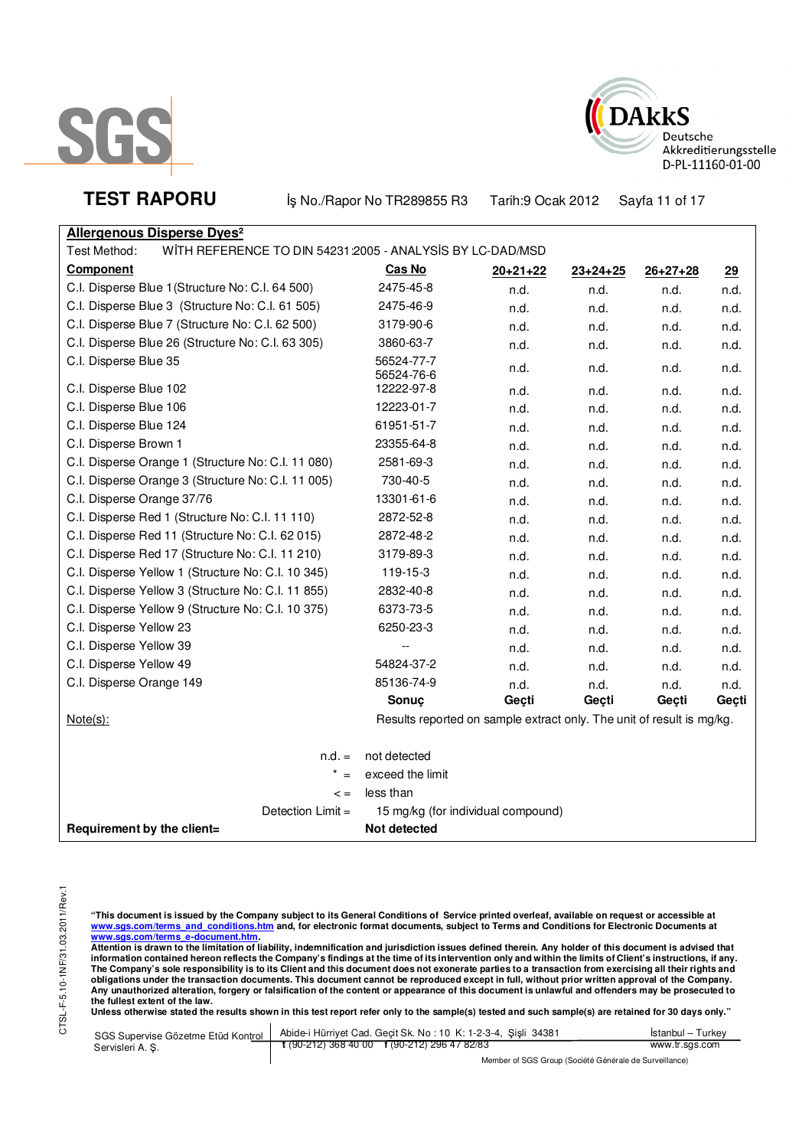



TEST RAPORU **By No./Rapor No TR289855 R3** Tarih:9 Ocak 2012 Sayfa 11 of 17

| <b>Allergenous Disperse Dyes<sup>2</sup></b> |                                                           |
|----------------------------------------------|-----------------------------------------------------------|
| Test Method:                                 | WITH REFERENCE TO DIN 54231:2005 - ANALYSIS BY LC-DAD/MSD |

| <b>I est ivietrica.</b><br>WITH NEFENEIVE TO DIN 34231.2003 - ANALTSIS DT LC-DAD/MSD |                                                                       |            |                |                |       |
|--------------------------------------------------------------------------------------|-----------------------------------------------------------------------|------------|----------------|----------------|-------|
| <b>Component</b>                                                                     | <u>Cas No</u>                                                         | $20+21+22$ | $23 + 24 + 25$ | $26 + 27 + 28$ | 29    |
| C.I. Disperse Blue 1 (Structure No: C.I. 64 500)                                     | 2475-45-8                                                             | n.d.       | n.d.           | n.d.           | n.d.  |
| C.I. Disperse Blue 3 (Structure No: C.I. 61 505)                                     | 2475-46-9                                                             | n.d.       | n.d.           | n.d.           | n.d.  |
| C.I. Disperse Blue 7 (Structure No: C.I. 62 500)                                     | 3179-90-6                                                             | n.d.       | n.d.           | n.d.           | n.d.  |
| C.I. Disperse Blue 26 (Structure No: C.I. 63 305)                                    | 3860-63-7                                                             | n.d.       | n.d.           | n.d.           | n.d.  |
| C.I. Disperse Blue 35                                                                | 56524-77-7<br>56524-76-6                                              | n.d.       | n.d.           | n.d.           | n.d.  |
| C.I. Disperse Blue 102                                                               | 12222-97-8                                                            | n.d.       | n.d.           | n.d.           | n.d.  |
| C.I. Disperse Blue 106                                                               | 12223-01-7                                                            | n.d.       | n.d.           | n.d.           | n.d.  |
| C.I. Disperse Blue 124                                                               | 61951-51-7                                                            | n.d.       | n.d.           | n.d.           | n.d.  |
| C.I. Disperse Brown 1                                                                | 23355-64-8                                                            | n.d.       | n.d.           | n.d.           | n.d.  |
| C.I. Disperse Orange 1 (Structure No: C.I. 11 080)                                   | 2581-69-3                                                             | n.d.       | n.d.           | n.d.           | n.d.  |
| C.I. Disperse Orange 3 (Structure No: C.I. 11 005)                                   | 730-40-5                                                              | n.d.       | n.d.           | n.d.           | n.d.  |
| C.I. Disperse Orange 37/76                                                           | 13301-61-6                                                            | n.d.       | n.d.           | n.d.           | n.d.  |
| C.I. Disperse Red 1 (Structure No: C.I. 11 110)                                      | 2872-52-8                                                             | n.d.       | n.d.           | n.d.           | n.d.  |
| C.I. Disperse Red 11 (Structure No: C.I. 62 015)                                     | 2872-48-2                                                             | n.d.       | n.d.           | n.d.           | n.d.  |
| C.I. Disperse Red 17 (Structure No: C.I. 11 210)                                     | 3179-89-3                                                             | n.d.       | n.d.           | n.d.           | n.d.  |
| C.I. Disperse Yellow 1 (Structure No: C.I. 10 345)                                   | 119-15-3                                                              | n.d.       | n.d.           | n.d.           | n.d.  |
| C.I. Disperse Yellow 3 (Structure No: C.I. 11 855)                                   | 2832-40-8                                                             | n.d.       | n.d.           | n.d.           | n.d.  |
| C.I. Disperse Yellow 9 (Structure No: C.I. 10 375)                                   | 6373-73-5                                                             | n.d.       | n.d.           | n.d.           | n.d.  |
| C.I. Disperse Yellow 23                                                              | 6250-23-3                                                             | n.d.       | n.d.           | n.d.           | n.d.  |
| C.I. Disperse Yellow 39                                                              | --                                                                    | n.d.       | n.d.           | n.d.           | n.d.  |
| C.I. Disperse Yellow 49                                                              | 54824-37-2                                                            | n.d.       | n.d.           | n.d.           | n.d.  |
| C.I. Disperse Orange 149                                                             | 85136-74-9                                                            | n.d.       | n.d.           | n.d.           | n.d.  |
|                                                                                      | Sonuç                                                                 | Geçti      | Geçti          | Geçti          | Geçti |
| $Note(s)$ :                                                                          | Results reported on sample extract only. The unit of result is mg/kg. |            |                |                |       |
| $n.d. =$                                                                             | not detected                                                          |            |                |                |       |
| $* =$                                                                                | exceed the limit                                                      |            |                |                |       |
| $\lt$ =                                                                              | less than                                                             |            |                |                |       |
| Detection Limit =                                                                    | 15 mg/kg (for individual compound)                                    |            |                |                |       |
| Requirement by the client=                                                           | Not detected                                                          |            |                |                |       |

"This document is issued by the Company subject to its General Conditions of Service printed overleaf, available on request or accessible at<br>www.sgs.com/terms\_and\_conditions.htm\_and, for electronic format documents, subjec

<u>www.sgs.com/terms\_e-document.htm.</u><br>Attention is drawn to the limitation of liability, indemnification and jurisdiction issues defined therein. Any holder of this document is advised that<br>information contained hereon refle obligations under the transaction documents. This document cannot be reproduced except in full, without prior written approval of the Company.<br>Any unauthorized alteration, forgery or falsification of the content or appeara

Unless otherwise stated the results shown in this test report refer only to the sample(s) tested and such sample(s) are retained for 30 days only."

| SGS Supervise Gözetme Etüd Kontrol | Abide-i Hürriyet Cad. Geçit Sk. No: 10 K: 1-2-3-4, Şişli 34381 | Istanbul – Turkev |
|------------------------------------|----------------------------------------------------------------|-------------------|
| Servisleri A.S.                    | t (90-212) 368 40 00 f (90-212) 296 47 82/83                   | www.tr.sgs.com    |
|                                    | $111100000101100111011$                                        |                   |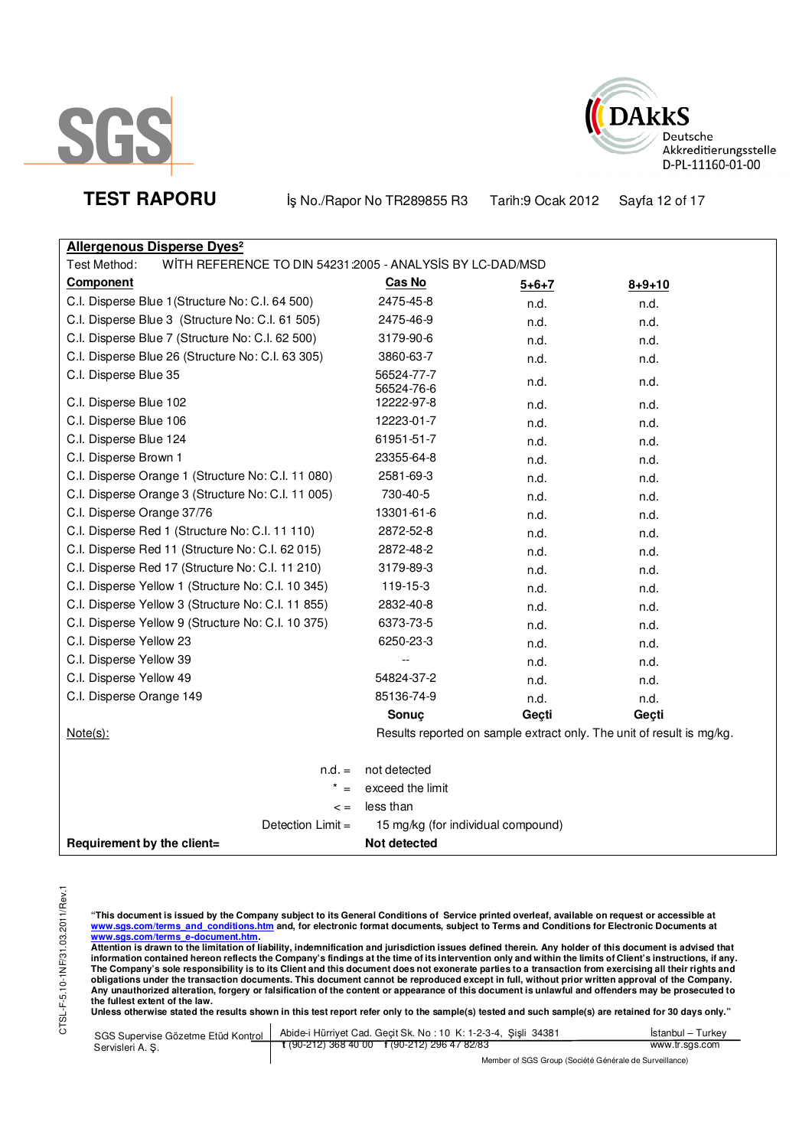



**TEST RAPORU** iş No./Rapor No TR289855 R3 Tarih:9 Ocak 2012 Sayfa 12 of 17

| <b>Allergenous Disperse Dyes<sup>2</sup></b>                              |                          |                                    |                                                                       |
|---------------------------------------------------------------------------|--------------------------|------------------------------------|-----------------------------------------------------------------------|
| WITH REFERENCE TO DIN 54231:2005 - ANALYSIS BY LC-DAD/MSD<br>Test Method: |                          |                                    |                                                                       |
| <b>Component</b>                                                          | <b>Cas No</b>            | $5 + 6 + 7$                        | $8 + 9 + 10$                                                          |
| C.I. Disperse Blue 1 (Structure No: C.I. 64 500)                          | 2475-45-8                | n.d.                               | n.d.                                                                  |
| C.I. Disperse Blue 3 (Structure No: C.I. 61 505)                          | 2475-46-9                | n.d.                               | n.d.                                                                  |
| C.I. Disperse Blue 7 (Structure No: C.I. 62 500)                          | 3179-90-6                | n.d.                               | n.d.                                                                  |
| C.I. Disperse Blue 26 (Structure No: C.I. 63 305)                         | 3860-63-7                | n.d.                               | n.d.                                                                  |
| C.I. Disperse Blue 35                                                     | 56524-77-7<br>56524-76-6 | n.d.                               | n.d.                                                                  |
| C.I. Disperse Blue 102                                                    | 12222-97-8               | n.d.                               | n.d.                                                                  |
| C.I. Disperse Blue 106                                                    | 12223-01-7               | n.d.                               | n.d.                                                                  |
| C.I. Disperse Blue 124                                                    | 61951-51-7               | n.d.                               | n.d.                                                                  |
| C.I. Disperse Brown 1                                                     | 23355-64-8               | n.d.                               | n.d.                                                                  |
| C.I. Disperse Orange 1 (Structure No: C.I. 11 080)                        | 2581-69-3                | n.d.                               | n.d.                                                                  |
| C.I. Disperse Orange 3 (Structure No: C.I. 11 005)                        | 730-40-5                 | n.d.                               | n.d.                                                                  |
| C.I. Disperse Orange 37/76                                                | 13301-61-6               | n.d.                               | n.d.                                                                  |
| C.I. Disperse Red 1 (Structure No: C.I. 11 110)                           | 2872-52-8                | n.d.                               | n.d.                                                                  |
| C.I. Disperse Red 11 (Structure No: C.I. 62 015)                          | 2872-48-2                | n.d.                               | n.d.                                                                  |
| C.I. Disperse Red 17 (Structure No: C.I. 11 210)                          | 3179-89-3                | n.d.                               | n.d.                                                                  |
| C.I. Disperse Yellow 1 (Structure No: C.I. 10 345)                        | 119-15-3                 | n.d.                               | n.d.                                                                  |
| C.I. Disperse Yellow 3 (Structure No: C.I. 11 855)                        | 2832-40-8                | n.d.                               | n.d.                                                                  |
| C.I. Disperse Yellow 9 (Structure No: C.I. 10 375)                        | 6373-73-5                | n.d.                               | n.d.                                                                  |
| C.I. Disperse Yellow 23                                                   | 6250-23-3                | n.d.                               | n.d.                                                                  |
| C.I. Disperse Yellow 39                                                   |                          | n.d.                               | n.d.                                                                  |
| C.I. Disperse Yellow 49                                                   | 54824-37-2               | n.d.                               | n.d.                                                                  |
| C.I. Disperse Orange 149                                                  | 85136-74-9               | n.d.                               | n.d.                                                                  |
|                                                                           | Sonuç                    | Geçti                              | Geçti                                                                 |
| $Note(s)$ :                                                               |                          |                                    | Results reported on sample extract only. The unit of result is mg/kg. |
| $n.d. =$                                                                  | not detected             |                                    |                                                                       |
|                                                                           | exceed the limit         |                                    |                                                                       |
| $\lt$ =                                                                   | less than                |                                    |                                                                       |
| Detection Limit =                                                         |                          | 15 mg/kg (for individual compound) |                                                                       |
| Requirement by the client=                                                | Not detected             |                                    |                                                                       |

"This document is issued by the Company subject to its General Conditions of Service printed overleaf, available on request or accessible at<br>www.sgs.com/terms\_and\_conditions.htm\_and, for electronic format documents, subjec

<mark>www.sgs.com/terms\_e-document.htm.</mark><br>Attention is drawn to the limitation of liability, indemnification and jurisdiction issues defined therein. Any holder of this document is advised that information contained hereon reflects the Company's findings at the time of its intervention only and within the limits of Client's instructions, if any.<br>The Company's sole responsibility is to its Client and this document obligations under the transaction documents. This document cannot be reproduced except in full, without prior written approval of the Company.<br>Any unauthorized alteration, forgery or falsification of the content or appeara

**Unless otherwise stated the results shown in this test report refer only to the sample(s) tested and such sample(s) are retained for 30 days only."** 

| SGS Supervise Gözetme Etüd Kontrol | Abide-i Hürriyet Cad. Geçit Sk. No : 10 K: 1-2-3-4, Şişli 34381 | <b>Istanbul</b> – Turkey |
|------------------------------------|-----------------------------------------------------------------|--------------------------|
| Servisleri A. S.                   | $\frac{1}{2}$ (90-212) 368 40 00 f (90-212) 296 47 82/83        | www.tr.sgs.com           |
|                                    | Mambau of POP Ourine (Partitit O tatuala de Pinizillanea)       |                          |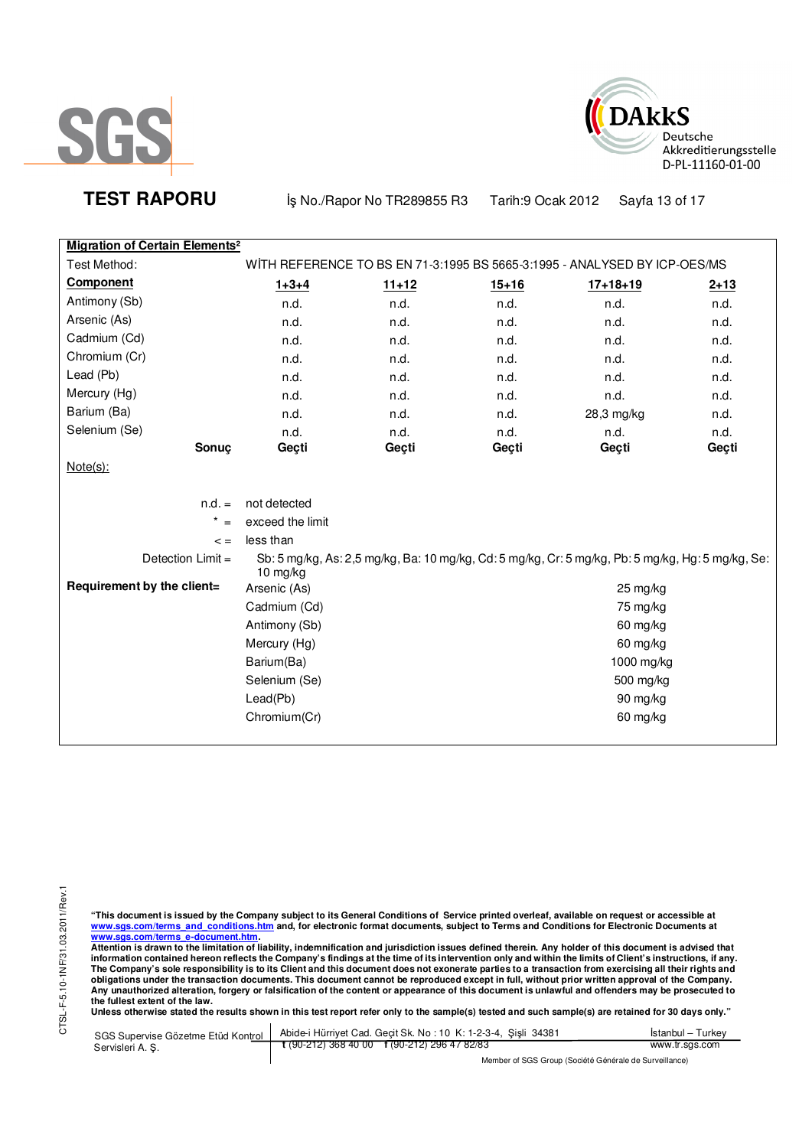



**TEST RAPORU By No./Rapor No TR289855 R3** Tarih:9 Ocak 2012 Sayfa 13 of 17

| <b>Migration of Certain Elements<sup>2</sup></b> |                  |           |           |                                                                                                   |          |
|--------------------------------------------------|------------------|-----------|-----------|---------------------------------------------------------------------------------------------------|----------|
| Test Method:                                     |                  |           |           | WITH REFERENCE TO BS EN 71-3:1995 BS 5665-3:1995 - ANALYSED BY ICP-OES/MS                         |          |
| <b>Component</b>                                 | $1 + 3 + 4$      | $11 + 12$ | $15 + 16$ | $17 + 18 + 19$                                                                                    | $2 + 13$ |
| Antimony (Sb)                                    | n.d.             | n.d.      | n.d.      | n.d.                                                                                              | n.d.     |
| Arsenic (As)                                     | n.d.             | n.d.      | n.d.      | n.d.                                                                                              | n.d.     |
| Cadmium (Cd)                                     | n.d.             | n.d.      | n.d.      | n.d.                                                                                              | n.d.     |
| Chromium (Cr)                                    | n.d.             | n.d.      | n.d.      | n.d.                                                                                              | n.d.     |
| Lead (Pb)                                        | n.d.             | n.d.      | n.d.      | n.d.                                                                                              | n.d.     |
| Mercury (Hg)                                     | n.d.             | n.d.      | n.d.      | n.d.                                                                                              | n.d.     |
| Barium (Ba)                                      | n.d.             | n.d.      | n.d.      | 28,3 mg/kg                                                                                        | n.d.     |
| Selenium (Se)                                    | n.d.             | n.d.      | n.d.      | n.d.                                                                                              | n.d.     |
| <b>Sonuc</b>                                     | Geçti            | Geçti     | Geçti     | Geçti                                                                                             | Geçti    |
| $Note(s)$ :                                      |                  |           |           |                                                                                                   |          |
| $n.d. =$                                         | not detected     |           |           |                                                                                                   |          |
| $\star$                                          | exceed the limit |           |           |                                                                                                   |          |
| $\lt$ =                                          | less than        |           |           |                                                                                                   |          |
| Detection Limit =                                | $10$ mg/kg       |           |           | Sb: 5 mg/kg, As: 2,5 mg/kg, Ba: 10 mg/kg, Cd: 5 mg/kg, Cr: 5 mg/kg, Pb: 5 mg/kg, Hg: 5 mg/kg, Se: |          |
| Requirement by the client=                       | Arsenic (As)     |           |           | $25 \,\mathrm{mg/kg}$                                                                             |          |
|                                                  | Cadmium (Cd)     |           |           | 75 mg/kg                                                                                          |          |
|                                                  | Antimony (Sb)    |           |           | 60 mg/kg                                                                                          |          |
|                                                  | Mercury (Hg)     |           |           | 60 mg/kg                                                                                          |          |
|                                                  | Barium(Ba)       |           |           | 1000 mg/kg                                                                                        |          |
|                                                  | Selenium (Se)    |           |           | 500 mg/kg                                                                                         |          |
|                                                  | Lead(Pb)         |           |           | 90 mg/kg                                                                                          |          |
|                                                  | Chromium(Cr)     |           |           | 60 mg/kg                                                                                          |          |
|                                                  |                  |           |           |                                                                                                   |          |

"This document is issued by the Company subject to its General Conditions of Service printed overleaf, available on request or accessible at<br>www.sgs.com/terms\_and\_conditions.htm\_and, for electronic format documents, subjec

<u>www.sgs.com/terms\_e-document.htm.</u><br>Attention is drawn to the limitation of liability, indemnification and jurisdiction issues defined therein. Any holder of this document is advised that<br>information contained hereon refle obligations under the transaction documents. This document cannot be reproduced except in full, without prior written approval of the Company.<br>Any unauthorized alteration, forgery or falsification of the content or appeara

**Unless otherwise stated the results shown in this test report refer only to the sample(s) tested and such sample(s) are retained for 30 days only."** 

| SGS Supervise Gözetme Etüd Kontrol | Abide-i Hürriyet Cad. Gecit Sk. No: 10 K: 1-2-3-4, Sisli 34381       | Istanbul – Turkev |
|------------------------------------|----------------------------------------------------------------------|-------------------|
| Servisleri A. S.                   | $\frac{1}{2}$ (90-212) 368 40 00 $\frac{1}{2}$ (90-212) 296 47 82/83 | www.tr.sgs.com    |
|                                    | Member of SGS Group (Société Générale de Surveillance)               |                   |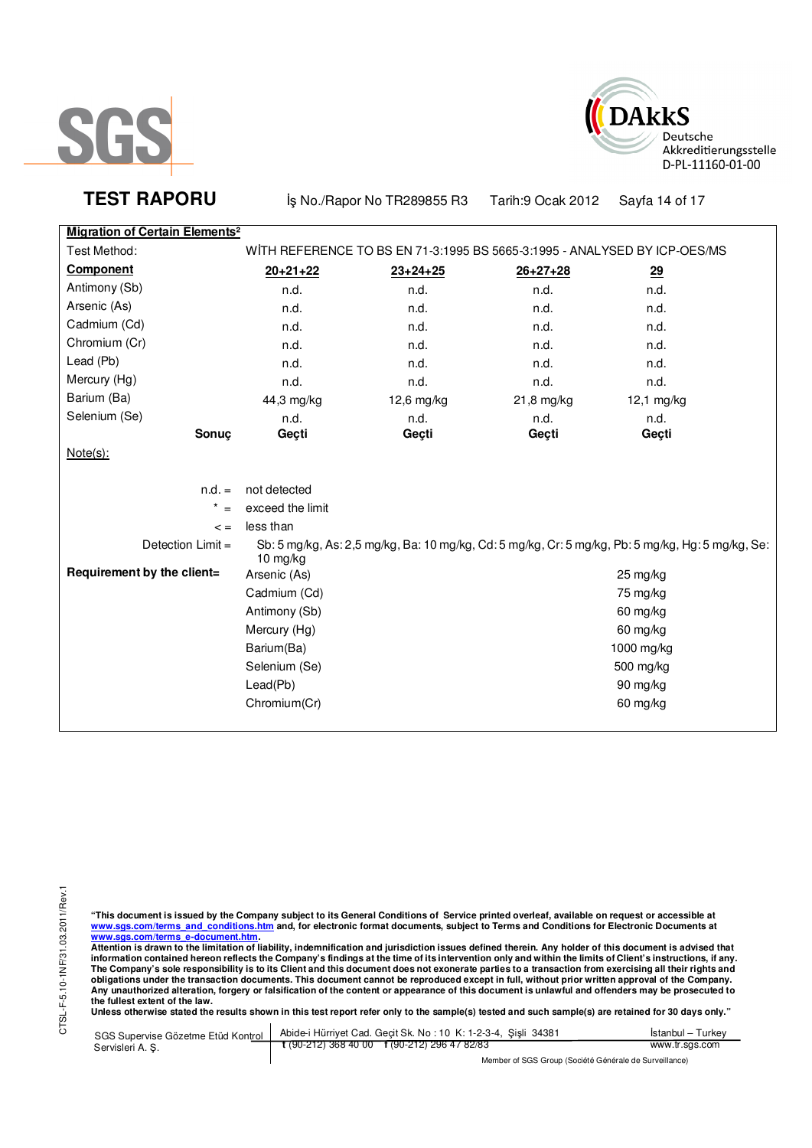



**TEST RAPORU By No./Rapor No TR289855 R3** Tarih:9 Ocak 2012 Sayfa 14 of 17

# **Migration of Certain Elements<sup>2</sup>**

| WITH REFERENCE TO BS EN 71-3:1995 BS 5665-3:1995 - ANALYSED BY ICP-OES/MS<br>Test Method: |                  |                |                |                                                                                                   |  |
|-------------------------------------------------------------------------------------------|------------------|----------------|----------------|---------------------------------------------------------------------------------------------------|--|
| <b>Component</b>                                                                          |                  |                |                |                                                                                                   |  |
|                                                                                           | $20+21+22$       | $23 + 24 + 25$ | $26 + 27 + 28$ | 29                                                                                                |  |
| Antimony (Sb)                                                                             | n.d.             | n.d.           | n.d.           | n.d.                                                                                              |  |
| Arsenic (As)                                                                              | n.d.             | n.d.           | n.d.           | n.d.                                                                                              |  |
| Cadmium (Cd)                                                                              | n.d.             | n.d.           | n.d.           | n.d.                                                                                              |  |
| Chromium (Cr)                                                                             | n.d.             | n.d.           | n.d.           | n.d.                                                                                              |  |
| Lead (Pb)                                                                                 | n.d.             | n.d.           | n.d.           | n.d.                                                                                              |  |
| Mercury (Hg)                                                                              | n.d.             | n.d.           | n.d.           | n.d.                                                                                              |  |
| Barium (Ba)                                                                               | 44,3 mg/kg       | 12,6 mg/kg     | 21,8 mg/kg     | 12,1 mg/kg                                                                                        |  |
| Selenium (Se)                                                                             | n.d.             | n.d.           | n.d.           | n.d.                                                                                              |  |
| Sonuc                                                                                     | Geçti            | Geçti          | Geçti          | Geçti                                                                                             |  |
| $Note(s)$ :                                                                               |                  |                |                |                                                                                                   |  |
| $n.d. =$                                                                                  | not detected     |                |                |                                                                                                   |  |
| $^\star$<br>$=$                                                                           | exceed the limit |                |                |                                                                                                   |  |
|                                                                                           | less than        |                |                |                                                                                                   |  |
| $\lt$ =                                                                                   |                  |                |                |                                                                                                   |  |
| Detection Limit =                                                                         | 10 $mg/kg$       |                |                | Sb: 5 mg/kg, As: 2,5 mg/kg, Ba: 10 mg/kg, Cd: 5 mg/kg, Cr: 5 mg/kg, Pb: 5 mg/kg, Hg: 5 mg/kg, Se: |  |
| Requirement by the client=                                                                | Arsenic (As)     |                |                | 25 mg/kg                                                                                          |  |
|                                                                                           | Cadmium (Cd)     |                |                | 75 mg/kg                                                                                          |  |
|                                                                                           | Antimony (Sb)    |                |                | 60 mg/kg                                                                                          |  |
|                                                                                           | Mercury (Hg)     |                |                | 60 mg/kg                                                                                          |  |
|                                                                                           | Barium(Ba)       |                |                | 1000 mg/kg                                                                                        |  |
|                                                                                           | Selenium (Se)    |                |                | 500 mg/kg                                                                                         |  |
|                                                                                           | Lead(Pb)         |                |                | 90 mg/kg                                                                                          |  |
|                                                                                           |                  |                |                |                                                                                                   |  |
|                                                                                           | Chromium(Cr)     |                |                | 60 mg/kg                                                                                          |  |
|                                                                                           |                  |                |                |                                                                                                   |  |

"This document is issued by the Company subject to its General Conditions of Service printed overleaf, available on request or accessible at<br>www.sgs.com/terms\_and\_conditions.htm\_and, for electronic format documents, subjec

<u>www.sgs.com/terms\_e-document.htm.</u><br>Attention is drawn to the limitation of liability, indemnification and jurisdiction issues defined therein. Any holder of this document is advised that<br>information contained hereon refle obligations under the transaction documents. This document cannot be reproduced except in full, without prior written approval of the Company.<br>Any unauthorized alteration, forgery or falsification of the content or appeara

**Unless otherwise stated the results shown in this test report refer only to the sample(s) tested and such sample(s) are retained for 30 days only."** 

| SGS Supervise Gözetme Etüd Kontrol | Abide-i Hürriyet Cad. Gecit Sk. No: 10 K: 1-2-3-4, Sisli 34381 | Istanbul – Turkev |  |
|------------------------------------|----------------------------------------------------------------|-------------------|--|
| Servisleri A. S.                   | $\frac{1}{2}$ (90-212) 368 40 00 f (90-212) 296 47 82/83       | www.tr.sgs.com    |  |
|                                    | Member of SGS Group (Société Générale de Surveillance)         |                   |  |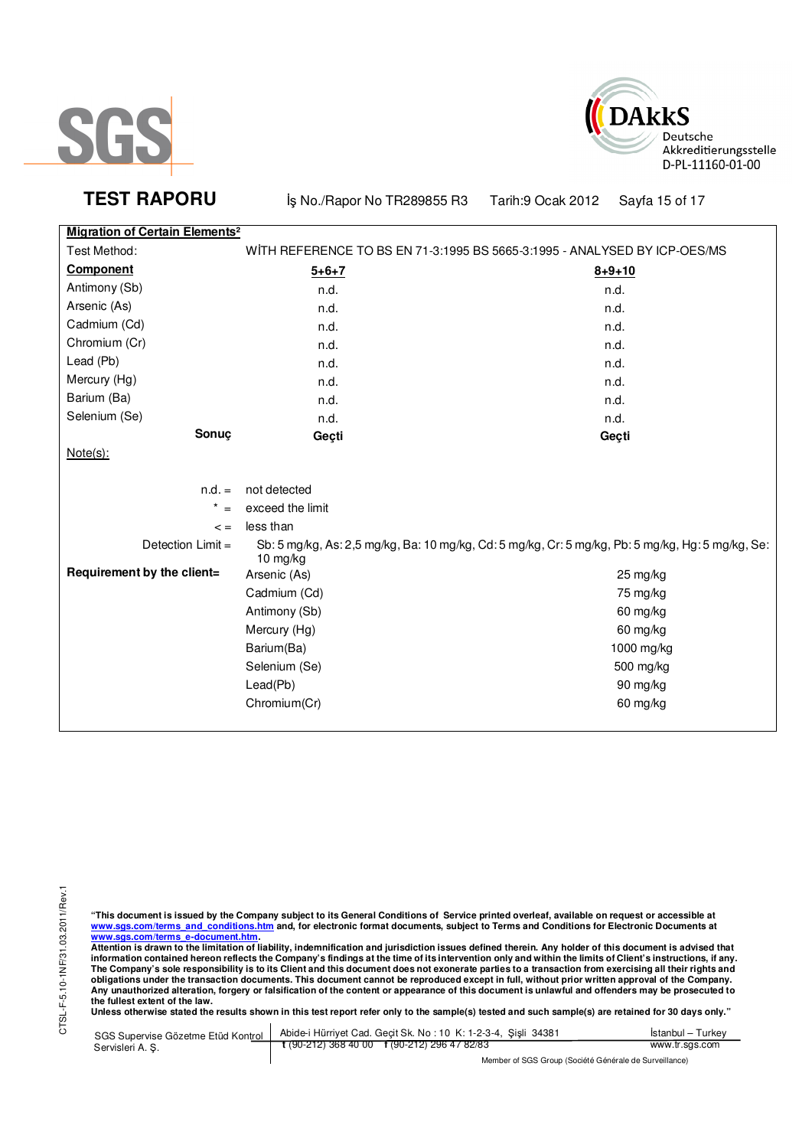



**TEST RAPORU b** iş No./Rapor No TR289855 R3 Tarih:9 Ocak 2012 Sayfa 15 of 17

|  |  | Migration of Certain Elements <sup>2</sup> |
|--|--|--------------------------------------------|

| Test Method:               | WITH REFERENCE TO BS EN 71-3:1995 BS 5665-3:1995 - ANALYSED BY ICP-OES/MS |                                                                                                   |  |
|----------------------------|---------------------------------------------------------------------------|---------------------------------------------------------------------------------------------------|--|
| <b>Component</b>           | $5 + 6 + 7$                                                               | $8 + 9 + 10$                                                                                      |  |
| Antimony (Sb)              | n.d.                                                                      | n.d.                                                                                              |  |
| Arsenic (As)               | n.d.                                                                      | n.d.                                                                                              |  |
| Cadmium (Cd)               | n.d.                                                                      | n.d.                                                                                              |  |
| Chromium (Cr)              | n.d.                                                                      | n.d.                                                                                              |  |
| Lead (Pb)                  | n.d.                                                                      | n.d.                                                                                              |  |
| Mercury (Hg)               | n.d.                                                                      | n.d.                                                                                              |  |
| Barium (Ba)                | n.d.                                                                      | n.d.                                                                                              |  |
| Selenium (Se)              | n.d.                                                                      | n.d.                                                                                              |  |
| Sonuç                      | Geçti                                                                     | Geçti                                                                                             |  |
| $Note(s)$ :                |                                                                           |                                                                                                   |  |
|                            |                                                                           |                                                                                                   |  |
| $n.d. =$                   | not detected                                                              |                                                                                                   |  |
| $^\star$<br>$=$            | exceed the limit                                                          |                                                                                                   |  |
| $\lt$ =                    | less than                                                                 |                                                                                                   |  |
| Detection Limit =          | 10 mg/kg                                                                  | Sb: 5 mg/kg, As: 2,5 mg/kg, Ba: 10 mg/kg, Cd: 5 mg/kg, Cr: 5 mg/kg, Pb: 5 mg/kg, Hg: 5 mg/kg, Se: |  |
| Requirement by the client= | Arsenic (As)                                                              | $25 \,\mathrm{mg/kg}$                                                                             |  |
|                            | Cadmium (Cd)                                                              | 75 mg/kg                                                                                          |  |
|                            | Antimony (Sb)                                                             | 60 mg/kg                                                                                          |  |
|                            | Mercury (Hg)                                                              | 60 mg/kg                                                                                          |  |
|                            | Barium(Ba)                                                                | 1000 mg/kg                                                                                        |  |
|                            | Selenium (Se)                                                             | 500 mg/kg                                                                                         |  |
|                            | Lead(Pb)                                                                  | $90$ mg/kg                                                                                        |  |
|                            | Chromium(Cr)                                                              | 60 mg/kg                                                                                          |  |
|                            |                                                                           |                                                                                                   |  |

"This document is issued by the Company subject to its General Conditions of Service printed overleaf, available on request or accessible at<br>www.sgs.com/terms\_and\_conditions.htm\_and, for electronic format documents, subjec

<u>www.sgs.com/terms\_e-document.htm.</u><br>Attention is drawn to the limitation of liability, indemnification and jurisdiction issues defined therein. Any holder of this document is advised that<br>information contained hereon refle obligations under the transaction documents. This document cannot be reproduced except in full, without prior written approval of the Company.<br>Any unauthorized alteration, forgery or falsification of the content or appeara

**Unless otherwise stated the results shown in this test report refer only to the sample(s) tested and such sample(s) are retained for 30 days only."** 

| SGS Supervise Gözetme Etüd Kontrol | Abide-i Hürriyet Cad. Gecit Sk. No: 10 K: 1-2-3-4, Sisli 34381 | Istanbul – Turkev |  |
|------------------------------------|----------------------------------------------------------------|-------------------|--|
| Servisleri A. S.                   | $\frac{1}{2}$ (90-212) 368 40 00 f (90-212) 296 47 82/83       | www.tr.sgs.com    |  |
|                                    | Member of SGS Group (Société Générale de Surveillance)         |                   |  |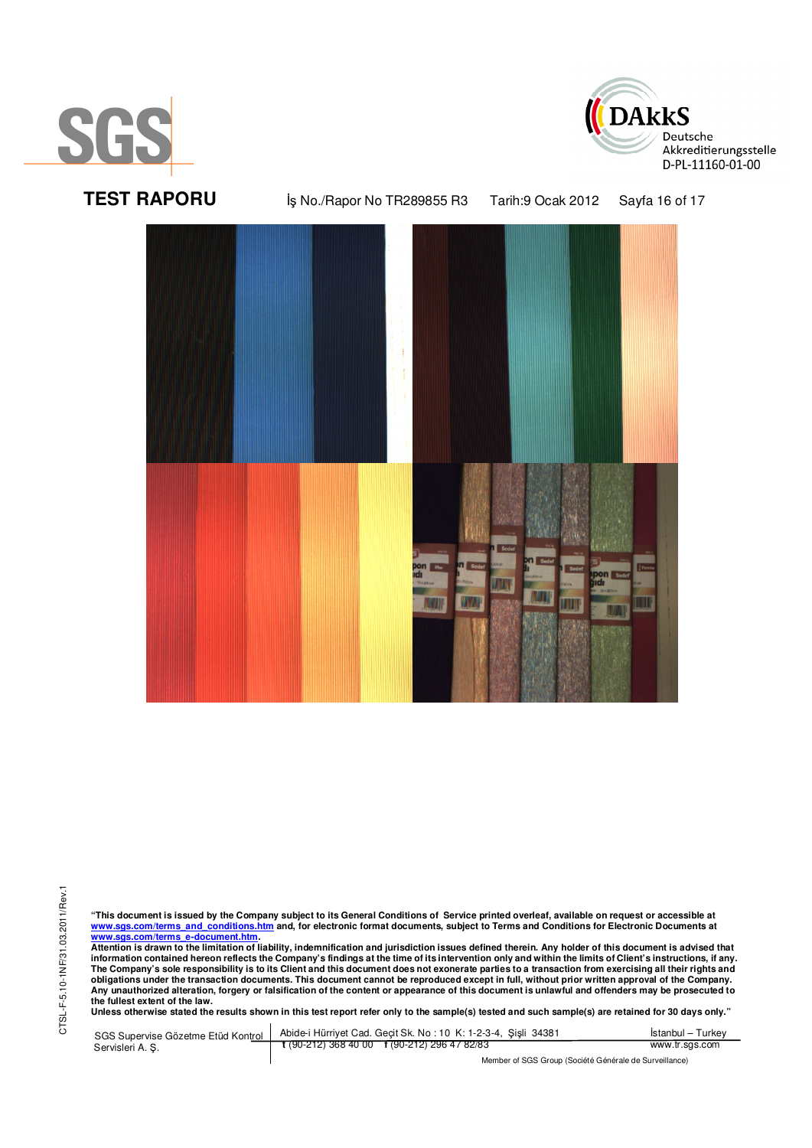





CTSL-F-5.10-1NF/31.03.2011/Rev.1 CTSL-F-5.10-1NF/31.03.2011/Rev.1

"This document is issued by the Company subject to its General Conditions of Service printed overleaf, available on request or accessible at<br>www.sgs.com/terms\_and\_conditions.htm\_and, for electronic format documents, subjec <mark>www.sgs.com/terms\_e-document.htm.</mark><br>Attention is drawn to the limitation of liability, indemnification and jurisdiction issues defined therein. Any holder of this document is advised that

information contained hereon reflects the Company's findings at the time of its intervention only and within the limits of Client's instructions, if any.<br>The Company's sole responsibility is to its Client and this document obligations under the transaction documents. This document cannot be reproduced except in full, without prior written approval of the Company.<br>Any unauthorized alteration, forgery or falsification of the content or appeara

**Unless otherwise stated the results shown in this test report refer only to the sample(s) tested and such sample(s) are retained for 30 days only."** 

SGS Supervise Gözetme Etüd Kontrol Servisleri A. Ş. Abide-i Hürriyet Cad. Geçit Sk. No : 10 K: 1-2-3-4, Şişli 34381 **t** (90-212) 368 40 00 **f** (90-212) 296 47 82/83 İstanbul – Turkey www.tr.sgs.com